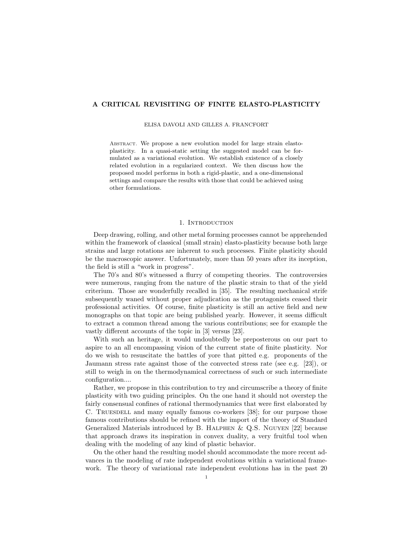# A CRITICAL REVISITING OF FINITE ELASTO-PLASTICITY

#### ELISA DAVOLI AND GILLES A. FRANCFORT

Abstract. We propose a new evolution model for large strain elastoplasticity. In a quasi-static setting the suggested model can be formulated as a variational evolution. We establish existence of a closely related evolution in a regularized context. We then discuss how the proposed model performs in both a rigid-plastic, and a one-dimensional settings and compare the results with those that could be achieved using other formulations.

## 1. INTRODUCTION

Deep drawing, rolling, and other metal forming processes cannot be apprehended within the framework of classical (small strain) elasto-plasticity because both large strains and large rotations are inherent to such processes. Finite plasticity should be the macroscopic answer. Unfortunately, more than 50 years after its inception, the field is still a "work in progress".

The 70's and 80's witnessed a flurry of competing theories. The controversies were numerous, ranging from the nature of the plastic strain to that of the yield criterium. Those are wonderfully recalled in [35]. The resulting mechanical strife subsequently waned without proper adjudication as the protagonists ceased their professional activities. Of course, finite plasticity is still an active field and new monographs on that topic are being published yearly. However, it seems difficult to extract a common thread among the various contributions; see for example the vastly different accounts of the topic in [3] versus [23].

With such an heritage, it would undoubtedly be preposterous on our part to aspire to an all encompassing vision of the current state of finite plasticity. Nor do we wish to resuscitate the battles of yore that pitted e.g. proponents of the Jaumann stress rate against those of the convected stress rate (see e.g. [23]), or still to weigh in on the thermodynamical correctness of such or such intermediate configuration....

Rather, we propose in this contribution to try and circumscribe a theory of finite plasticity with two guiding principles. On the one hand it should not overstep the fairly consensual confines of rational thermodynamics that were first elaborated by C. TRUESDELL and many equally famous co-workers [38]; for our purpose those famous contributions should be refined with the import of the theory of Standard Generalized Materials introduced by B. Halphen & Q.S. Nguyen [22] because that approach draws its inspiration in convex duality, a very fruitful tool when dealing with the modeling of any kind of plastic behavior.

On the other hand the resulting model should accommodate the more recent advances in the modeling of rate independent evolutions within a variational framework. The theory of variational rate independent evolutions has in the past 20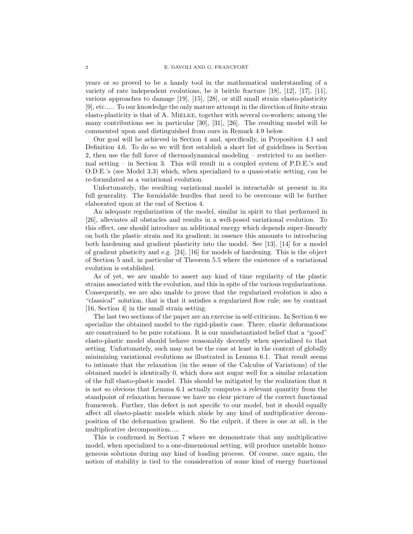years or so proved to be a handy tool in the mathematical understanding of a variety of rate independent evolutions, be it brittle fracture [18], [12], [17], [11], various approaches to damage [19], [15], [28], or still small strain elasto-plasticity [9], etc..... To our knowledge the only mature attempt in the direction of finite strain elasto-plasticity is that of A. MIELKE, together with several co-workers; among the many contributions see in particular [30], [31], [26]. The resulting model will be commented upon and distinguished from ours in Remark 4.9 below.

Our goal will be achieved in Section 4 and, specifically, in Proposition 4.1 and Definition 4.6. To do so we will first establish a short list of guidelines in Section 2, then use the full force of thermodynamical modeling – restricted to an isothermal setting – in Section 3. This will result in a coupled system of P.D.E.'s and O.D.E.'s (see Model 3.3) which, when specialized to a quasi-static setting, can be re-formulated as a variational evolution.

Unfortunately, the resulting variational model is intractable at present in its full generality. The formidable hurdles that need to be overcome will be further elaborated upon at the end of Section 4.

An adequate regularization of the model, similar in spirit to that performed in [26], alleviates all obstacles and results in a well-posed variational evolution. To this effect, one should introduce an additional energy which depends super-linearly on both the plastic strain and its gradient; in essence this amounts to introducing both hardening and gradient plasticity into the model. See [13], [14] for a model of gradient plasticity and e.g. [24], [16] for models of hardening. This is the object of Section 5 and, in particular of Theorem 5.5 where the existence of a variational evolution is established.

As of yet, we are unable to assert any kind of time regularity of the plastic strains associated with the evolution, and this in spite of the various regularizations. Consequently, we are also unable to prove that the regularized evolution is also a "classical" solution, that is that it satisfies a regularized flow rule; see by contrast [16, Section 4] in the small strain setting.

The last two sections of the paper are an exercise in self-criticism. In Section 6 we specialize the obtained model to the rigid-plastic case. There, elastic deformations are constrained to be pure rotations. It is our unsubstantiated belief that a "good" elasto-plastic model should behave reasonably decently when specialized to that setting. Unfortunately, such may not be the case at least in the context of globally minimizing variational evolutions as illustrated in Lemma 6.1. That result seems to intimate that the relaxation (in the sense of the Calculus of Variations) of the obtained model is identically 0, which does not augur well for a similar relaxation of the full elasto-plastic model. This should be mitigated by the realization that it is not so obvious that Lemma 6.1 actually computes a relevant quantity from the standpoint of relaxation because we have no clear picture of the correct functional framework. Further, this defect is not specific to our model, but it should equally affect all elasto-plastic models which abide by any kind of multiplicative decomposition of the deformation gradient. So the culprit, if there is one at all, is the multiplicative decomposition.....

This is confirmed in Section 7 where we demonstrate that any multiplicative model, when specialized to a one-dimensional setting, will produce unstable homogeneous solutions during any kind of loading process. Of course, once again, the notion of stability is tied to the consideration of some kind of energy functional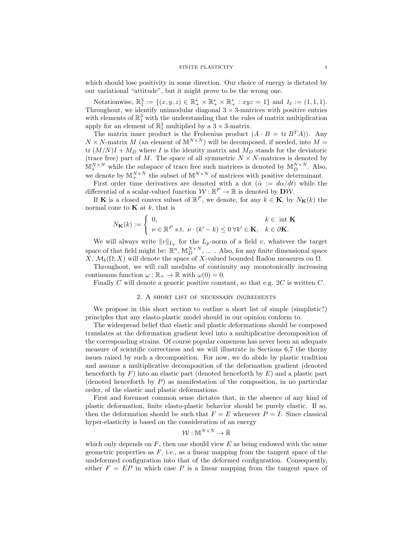#### FINITE PLASTICITY 3

which should lose positivity in some direction. Our choice of energy is dictated by our variational "attitude", but it might prove to be the wrong one.

Notationwise,  $\mathbb{R}^3_1 := \{(x, y, z) \in \mathbb{R}^*_+ \times \mathbb{R}^*_+ \times \mathbb{R}^*_+ : xyz = 1\}$  and  $I_3 := (1, 1, 1)$ . Throughout, we identify unimodular diagonal  $3 \times 3$ -matrices with positive entries with elements of  $\mathbb{R}^3_1$  with the understanding that the rules of matrix multiplication apply for an element of  $\mathbb{R}^3_1$  multiplied by a  $3 \times 3$ -matrix.

The matrix inner product is the Frobenius product  $(A \cdot B = \text{tr } B^T A)$ . Any  $N \times N$ -matrix M (an element of  $M^{N \times N}$ ) will be decomposed, if needed, into  $M =$ tr  $(M/N)I + M_D$  where I is the identity matrix and  $M_D$  stands for the deviatoric (trace free) part of M. The space of all symmetric  $N \times N$ -matrices is denoted by  $\mathbb{M}_s^{N \times N}$  while the subspace of trace free such matrices is denoted by  $\mathbb{M}_D^{N \times N}$ . Also, we denote by  $\mathbb{M}^{N\times N}_{+}$  the subset of  $\mathbb{M}^{N\times N}$  of matrices with positive determinant.

First order time derivatives are denoted with a dot ( $\alpha := d\alpha/dt$ ) while the differential of a scalar-valued function  $W : \mathbb{R}^P \to \mathbb{R}$  is denoted by  $\mathbf{D}W$ .

If **K** is a closed convex subset of  $\mathbb{R}^P$ , we denote, for any  $k \in \mathbf{K}$ , by  $N_{\mathbf{K}}(k)$  the normal cone to  $\mathbf K$  at  $k$ , that is

$$
N_{\mathbf{K}}(k) := \begin{cases} 0, & k \in \text{ int } \mathbf{K} \\ \nu \in \mathbb{R}^P \text{ s.t. } \nu \cdot (k'-k) \le 0 \ \forall k' \in \mathbf{K}, & k \in \partial \mathbf{K}. \end{cases}
$$

We will always write  $||v||_{L_p}$  for the  $L_p$ -norm of a field v, whatever the target space of that field might be:  $\mathbb{R}^n$ ,  $\mathbb{M}_{D}^{N \times N}$ , ... . Also, for any finite dimensional space X,  $\mathcal{M}_b(\Omega; X)$  will denote the space of X-valued bounded Radon measures on  $\Omega$ .

Throughout, we will call modulus of continuity any monotonically increasing continuous function  $\omega : \mathbb{R}_+ \to \mathbb{R}$  with  $\omega(0) = 0$ .

Finally C will denote a generic positive constant, so that e.g.  $2C$  is written C.

## 2. A short list of necessary ingredients

We propose in this short section to outline a short list of simple (simplistic?) principles that any elasto-plastic model should in our opinion conform to.

The widespread belief that elastic and plastic deformations should be composed translates at the deformation gradient level into a multiplicative decomposition of the corresponding strains. Of course popular consensus has never been an adequate measure of scientific correctness and we will illustrate in Sections 6,7 the thorny issues raised by such a decomposition. For now, we do abide by plastic tradition and assume a multiplicative decomposition of the deformation gradient (denoted henceforth by  $F$ ) into an elastic part (denoted henceforth by  $E$ ) and a plastic part (denoted henceforth by  $P$ ) as manifestation of the composition, in no particular order, of the elastic and plastic deformations.

First and foremost common sense dictates that, in the absence of any kind of plastic deformation, finite elasto-plastic behavior should be purely elastic. If so, then the deformation should be such that  $F = E$  whenever  $P = I$ . Since classical hyper-elasticity is based on the consideration of an energy

$$
\mathcal{W}:\mathbb{M}^{N\times N}\to\bar{\mathbb{R}}
$$

which only depends on  $F$ , then one should view  $E$  as being endowed with the same geometric properties as  $F$ , i.e., as a linear mapping from the tangent space of the undeformed configuration into that of the deformed configuration. Consequently, either  $F = EP$  in which case P is a linear mapping from the tangent space of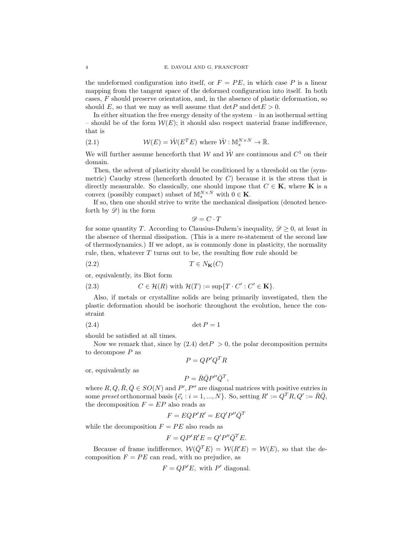the undeformed configuration into itself, or  $F = PE$ , in which case P is a linear mapping from the tangent space of the deformed configuration into itself. In both cases, F should preserve orientation, and, in the absence of plastic deformation, so should E, so that we may as well assume that  $\det P$  and  $\det E > 0$ .

In either situation the free energy density of the system – in an isothermal setting – should be of the form  $\mathcal{W}(E)$ ; it should also respect material frame indifference, that is

(2.1) 
$$
\mathcal{W}(E) = \hat{\mathcal{W}}(E^T E) \text{ where } \hat{\mathcal{W}} : \mathbb{M}_s^{N \times N} \to \bar{\mathbb{R}}.
$$

We will further assume henceforth that  $W$  and  $\hat{W}$  are continuous and  $C^1$  on their domain.

Then, the advent of plasticity should be conditioned by a threshold on the (symmetric) Cauchy stress (henceforth denoted by  $C$ ) because it is the stress that is directly measurable. So classically, one should impose that  $C \in \mathbf{K}$ , where **K** is a convex (possibly compact) subset of  $\mathbb{M}_s^{N \times N}$  with  $0 \in \mathbf{K}$ .

If so, then one should strive to write the mechanical dissipation (denoted henceforth by  $\mathscr{D}$ ) in the form

 $\mathscr{D} = C \cdot T$ 

for some quantity T. According to Clausius-Duhem's inequality,  $\mathscr{D} \geq 0$ , at least in the absence of thermal dissipation. (This is a mere re-statement of the second law of thermodynamics.) If we adopt, as is commonly done in plasticity, the normality rule, then, whatever  $T$  turns out to be, the resulting flow rule should be

$$
(2.2) \t\t T \in N_{\mathbf{K}}(C)
$$

or, equivalently, its Biot form

(2.3) 
$$
C \in \mathcal{H}(R) \text{ with } \mathcal{H}(T) := \sup \{ T \cdot C' : C' \in \mathbf{K} \}.
$$

Also, if metals or crystalline solids are being primarily investigated, then the plastic deformation should be isochoric throughout the evolution, hence the constraint

$$
(2.4) \t\t \det P = 1
$$

should be satisfied at all times.

Now we remark that, since by  $(2.4) \text{ det } P > 0$ , the polar decomposition permits to decompose  $P$  as

$$
P = QP'Q^TR
$$

or, equivalently as

$$
P = \bar{R}\bar{Q}P''\bar{Q}^T,
$$

where  $R, Q, \overline{R}, \overline{Q} \in SO(N)$  and  $P', P''$  are diagonal matrices with positive entries in some preset orthonormal basis  $\{\vec{e}_i : i = 1, ..., N\}$ . So, setting  $R' := Q^T R$ ,  $Q' := \overline{R} \overline{Q}$ , the decomposition  $F = EP$  also reads as

$$
F = EQP'R' = EQ'P''\overline{Q}^T
$$

while the decomposition  $F = PE$  also reads as

$$
F = QP'R'E = Q'P''\overline{Q}^T E.
$$

Because of frame indifference,  $W(\bar{Q}^T E) = W(R' E) = W(E)$ , so that the decomposition  $F = PE$  can read, with no prejudice, as

$$
F = QP'E
$$
, with P' diagonal.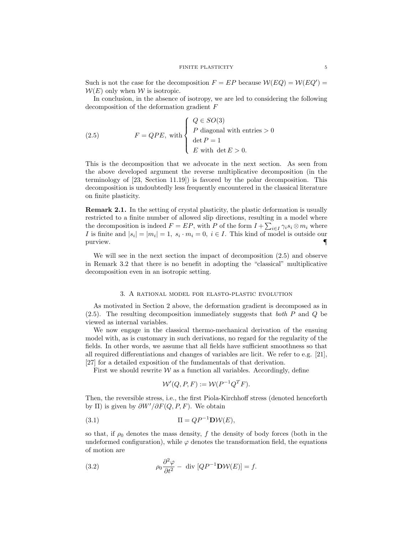Such is not the case for the decomposition  $F = EP$  because  $W(EQ) = W(EQ')$  $W(E)$  only when W is isotropic.

In conclusion, in the absence of isotropy, we are led to considering the following decomposition of the deformation gradient F

(2.5) 
$$
F = QPE, \text{ with }\begin{cases} Q \in SO(3) \\ P \text{ diagonal with entries } > 0 \\ \det P = 1 \\ E \text{ with } \det E > 0. \end{cases}
$$

This is the decomposition that we advocate in the next section. As seen from the above developed argument the reverse multiplicative decomposition (in the terminology of [23, Section 11.19]) is favored by the polar decomposition. This decomposition is undoubtedly less frequently encountered in the classical literature on finite plasticity.

Remark 2.1. In the setting of crystal plasticity, the plastic deformation is usually restricted to a finite number of allowed slip directions, resulting in a model where the decomposition is indeed  $F = EP$ , with P of the form  $I + \sum_{i \in I} \gamma_i s_i \otimes m_i$  where I is finite and  $|s_i| = |m_i| = 1$ ,  $s_i \cdot m_i = 0$ ,  $i \in I$ . This kind of model is outside our purview. ¶

We will see in the next section the impact of decomposition (2.5) and observe in Remark 3.2 that there is no benefit in adopting the "classical" multiplicative decomposition even in an isotropic setting.

## 3. A rational model for elasto-plastic evolution

As motivated in Section 2 above, the deformation gradient is decomposed as in  $(2.5)$ . The resulting decomposition immediately suggests that *both* P and Q be viewed as internal variables.

We now engage in the classical thermo-mechanical derivation of the ensuing model with, as is customary in such derivations, no regard for the regularity of the fields. In other words, we assume that all fields have sufficient smoothness so that all required differentiations and changes of variables are licit. We refer to e.g. [21], [27] for a detailed exposition of the fundamentals of that derivation.

First we should rewrite  $W$  as a function all variables. Accordingly, define

$$
\mathcal{W}'(Q, P, F) := \mathcal{W}(P^{-1}Q^T F).
$$

Then, the reversible stress, i.e., the first Piola-Kirchhoff stress (denoted henceforth by  $\Pi$ ) is given by  $\partial W'/\partial F(Q, P, F)$ . We obtain

$$
(3.1)\qquad \qquad \Pi = QP^{-1}\mathbf{D}\mathcal{W}(E),
$$

so that, if  $\rho_0$  denotes the mass density, f the density of body forces (both in the undeformed configuration), while  $\varphi$  denotes the transformation field, the equations of motion are

(3.2) 
$$
\rho_0 \frac{\partial^2 \varphi}{\partial t^2} - \text{ div } [QP^{-1} \mathbf{D} \mathcal{W}(E)] = f.
$$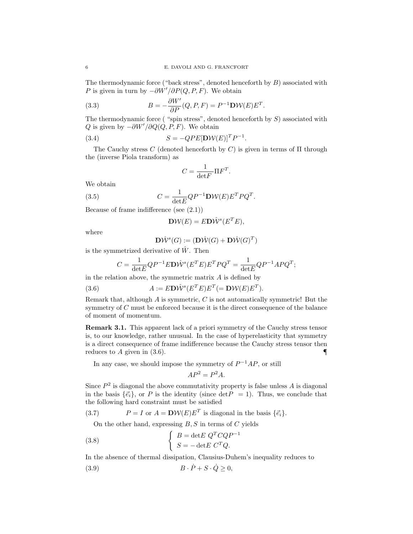The thermodynamic force ("back stress", denoted henceforth by  $B$ ) associated with P is given in turn by  $-\partial W'/\partial P(Q, P, F)$ . We obtain

(3.3) 
$$
B = -\frac{\partial W'}{\partial P}(Q, P, F) = P^{-1}D \mathcal{W}(E)E^{T}.
$$

The thermodynamic force ( "spin stress", denoted henceforth by  $S$ ) associated with Q is given by  $-\partial W'/\partial Q(Q, P, F)$ . We obtain

.

(3.4) 
$$
S = -QPE[\mathbf{D}W(E)]^T P^{-1}
$$

The Cauchy stress C (denoted henceforth by C) is given in terms of  $\Pi$  through the (inverse Piola transform) as

$$
C = \frac{1}{\det F} \Pi F^T.
$$

We obtain

(3.5) 
$$
C = \frac{1}{\det E} Q P^{-1} \mathbf{D} \mathcal{W}(E) E^T P Q^T.
$$

Because of frame indifference (see (2.1))

$$
\mathbf{D}\mathcal{W}(E) = E\mathbf{D}\hat{\mathcal{W}}^s(E^T E),
$$

where

$$
\mathbf{D}\hat{\mathcal{W}}^s(G):=(\mathbf{D}\hat{\mathcal{W}}(G)+\mathbf{D}\hat{\mathcal{W}}(G)^T)
$$

is the symmetrized derivative of  $\hat{W}$ . Then

$$
C = \frac{1}{\det E} Q P^{-1} E \mathbf{D} \hat{\mathcal{W}}^s (E^T E) E^T P Q^T = \frac{1}{\det E} Q P^{-1} A P Q^T;
$$

in the relation above, the symmetric matrix  $A$  is defined by

(3.6) 
$$
A := E\mathbf{D}\hat{\mathcal{W}}^s(E^T E)E^T (= \mathbf{D}\mathcal{W}(E)E^T).
$$

Remark that, although  $A$  is symmetric,  $C$  is not automatically symmetric! But the symmetry of C must be enforced because it is the direct consequence of the balance of moment of momentum.

Remark 3.1. This apparent lack of a priori symmetry of the Cauchy stress tensor is, to our knowledge, rather unusual. In the case of hyperelasticity that symmetry is a direct consequence of frame indifference because the Cauchy stress tensor then reduces to  $A$  given in  $(3.6)$ .

In any case, we should impose the symmetry of  $P^{-1}AP$ , or still

$$
AP^2 = P^2A.
$$

Since  $P<sup>2</sup>$  is diagonal the above commutativity property is false unless A is diagonal in the basis  $\{\vec{e}_i\}$ , or P is the identity (since det  $P = 1$ ). Thus, we conclude that the following hard constraint must be satisfied

(3.7)  $P = I$  or  $A = \mathbf{D}\mathcal{W}(E)E^T$  is diagonal in the basis  $\{\vec{e}_i\}.$ 

On the other hand, expressing  $B, S$  in terms of  $C$  yields

(3.8) 
$$
\begin{cases} B = \det E \ Q^T C Q P^{-1} \\ S = - \det E \ C^T Q. \end{cases}
$$

In the absence of thermal dissipation, Clausius-Duhem's inequality reduces to

$$
(3.9) \t\t B \cdot \dot{P} + S \cdot \dot{Q} \ge 0,
$$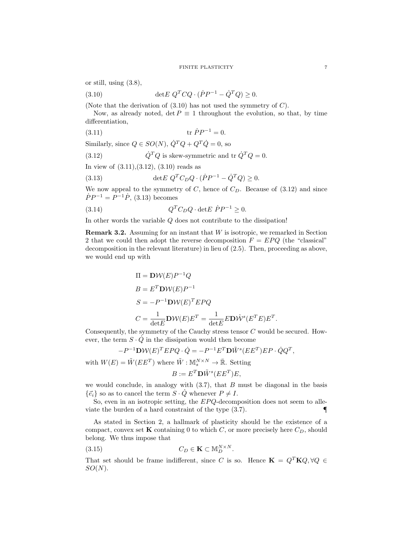or still, using (3.8),

(3.10) 
$$
\det E \ Q^T C Q \cdot (\dot{P} P^{-1} - \dot{Q}^T Q) \ge 0.
$$

(Note that the derivation of  $(3.10)$  has not used the symmetry of C).

Now, as already noted, det  $P \equiv 1$  throughout the evolution, so that, by time differentiation,

(3.11) 
$$
\text{tr } \dot{P}P^{-1} = 0.
$$

Similarly, since  $Q\in SO(N),$   $\dot{Q}^TQ+Q^T\dot{Q}=0,$  so

(3.12) 
$$
\dot{Q}^T Q \text{ is skew-symmetric and tr } \dot{Q}^T Q = 0.
$$

In view of (3.11),(3.12), (3.10) reads as

(3.13) 
$$
\det E \ Q^T C_D Q \cdot (\dot{P} P^{-1} - \dot{Q}^T Q) \ge 0.
$$

We now appeal to the symmetry of  $C$ , hence of  $C_D$ . Because of  $(3.12)$  and since  $\dot{P}P^{-1} = P^{-1}\dot{P}$ , (3.13) becomes

(3.14) 
$$
Q^T C_D Q \cdot \det E \ \dot{P} P^{-1} \geq 0.
$$

In other words the variable Q does not contribute to the dissipation!

**Remark 3.2.** Assuming for an instant that  $W$  is isotropic, we remarked in Section 2 that we could then adopt the reverse decomposition  $F = EPQ$  (the "classical" decomposition in the relevant literature) in lieu of (2.5). Then, proceeding as above, we would end up with

$$
\Pi = \mathbf{D}\mathcal{W}(E)P^{-1}Q
$$
  
\n
$$
B = E^T \mathbf{D}\mathcal{W}(E)P^{-1}
$$
  
\n
$$
S = -P^{-1}\mathbf{D}\mathcal{W}(E)^T E P Q
$$
  
\n
$$
C = \frac{1}{\det E} \mathbf{D}\mathcal{W}(E)E^T = \frac{1}{\det E} E \mathbf{D}\hat{\mathcal{W}}^s (E^T E)E^T.
$$

Consequently, the symmetry of the Cauchy stress tensor C would be secured. However, the term  $S \cdot \dot{Q}$  in the dissipation would then become

$$
-P^{-1}D\mathcal{W}(E)^{T}EPQ \cdot \dot{Q} = -P^{-1}E^{T}D\tilde{W}^{s}(EE^{T})EP \cdot \dot{Q}Q^{T},
$$

with  $W(E) = \tilde{W}(E E^{T})$  where  $\tilde{W}: \mathbb{M}_s^{N \times N} \to \bar{\mathbb{R}}$ . Setting

$$
B := E^T \mathbf{D} \tilde{W}^s (E E^T) E,
$$

we would conclude, in analogy with  $(3.7)$ , that B must be diagonal in the basis  $\{\vec{e}_i\}$  so as to cancel the term  $S \cdot Q$  whenever  $P \neq I$ .

So, even in an isotropic setting, the  $E\ddot{P}Q$ -decomposition does not seem to alleviate the burden of a hard constraint of the type  $(3.7)$ .

As stated in Section 2, a hallmark of plasticity should be the existence of a compact, convex set **K** containing 0 to which C, or more precisely here  $C_D$ , should belong. We thus impose that

(3.15) 
$$
C_D \in \mathbf{K} \subset \mathbb{M}_D^{N \times N}.
$$

That set should be frame indifferent, since C is so. Hence  $\mathbf{K} = Q^T \mathbf{K} Q, \forall Q \in$  $SO(N).$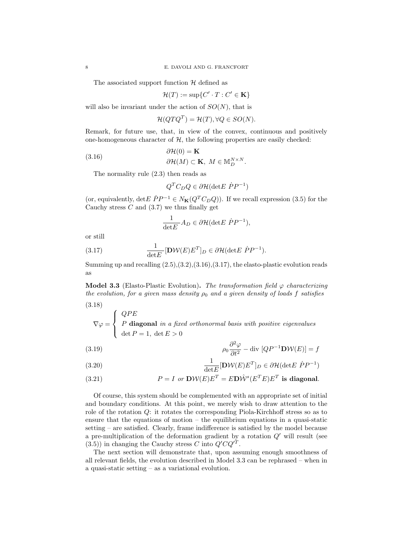The associated support function  $H$  defined as

$$
\mathcal{H}(T) := \sup \{ C' \cdot T : C' \in \mathbf{K} \}
$$

will also be invariant under the action of  $SO(N)$ , that is

$$
\mathcal{H}(QTQ^T) = \mathcal{H}(T), \forall Q \in SO(N).
$$

Remark, for future use, that, in view of the convex, continuous and positively one-homogeneous character of  $H$ , the following properties are easily checked:

(3.16) 
$$
\partial \mathcal{H}(0) = \mathbf{K}
$$

$$
\partial \mathcal{H}(M) \subset \mathbf{K}, M \in \mathbb{M}_{D}^{N \times N}.
$$

The normality rule (2.3) then reads as

$$
Q^T C_D Q \in \partial \mathcal{H}(\text{det} E \ \dot{P} P^{-1})
$$

(or, equivalently, det $E \dot{P} P^{-1} \in N_{\mathbf{K}}(Q^T C_D Q)$ ). If we recall expression (3.5) for the Cauchy stress  $C$  and  $(3.7)$  we thus finally get

$$
\frac{1}{\det E} A_D \in \partial \mathcal{H}(\det E \ \dot{P} P^{-1}),
$$

or still

(3.17) 
$$
\frac{1}{\det E} [\mathbf{D} \mathcal{W}(E) E^T]_D \in \partial \mathcal{H}(\det E \ \dot{P} P^{-1}).
$$

Summing up and recalling  $(2.5),(3.2),(3.16),(3.17)$ , the elasto-plastic evolution reads as

Model 3.3 (Elasto-Plastic Evolution). The transformation field  $\varphi$  characterizing the evolution, for a given mass density  $\rho_0$  and a given density of loads f satisfies (3.18)

$$
\nabla \varphi = \begin{cases} QPE \\ P \text{ diagonal in a fixed orthonormal basis with positive eigenvalues} \\ \det P = 1, \, \det E > 0 \end{cases}
$$

(3.19) 
$$
\rho_0 \frac{\partial^2 \varphi}{\partial t^2} - \text{div} [QP^{-1} \mathbf{D} \mathcal{W}(E)] = f
$$

(3.20) 
$$
\frac{1}{\det E}[\mathbf{D}\mathcal{W}(E)E^T]_D \in \partial \mathcal{H}(\det E \ \dot{P}P^{-1})
$$

(3.21) 
$$
P = I \text{ or } \mathbf{D}\mathcal{W}(E)E^T = E\mathbf{D}\hat{\mathcal{W}}^s(E^TE)E^T \text{ is diagonal.}
$$

Of course, this system should be complemented with an appropriate set of initial and boundary conditions. At this point, we merely wish to draw attention to the role of the rotation Q: it rotates the corresponding Piola-Kirchhoff stress so as to ensure that the equations of motion – the equilibrium equations in a quasi-static setting – are satisfied. Clearly, frame indifference is satisfied by the model because a pre-multiplication of the deformation gradient by a rotation  $Q'$  will result (see  $(3.5)$ ) in changing the Cauchy stress C into  $Q^{\prime}CQ^{\prime T}$ .

The next section will demonstrate that, upon assuming enough smoothness of all relevant fields, the evolution described in Model 3.3 can be rephrased – when in a quasi-static setting – as a variational evolution.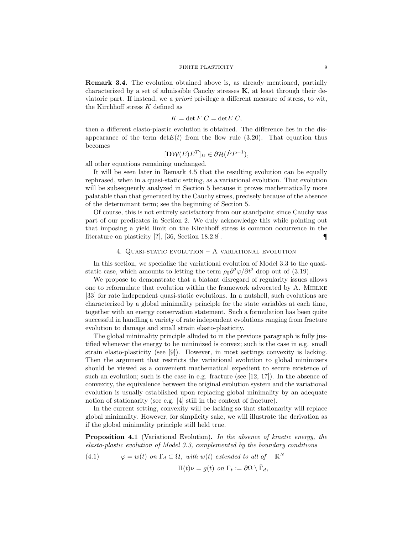Remark 3.4. The evolution obtained above is, as already mentioned, partially characterized by a set of admissible Cauchy stresses  $\bf{K}$ , at least through their deviatoric part. If instead, we a priori privilege a different measure of stress, to wit, the Kirchhoff stress  $K$  defined as

$$
K = \det F C = \det E C,
$$

then a different elasto-plastic evolution is obtained. The difference lies in the disappearance of the term  $\det E(t)$  from the flow rule (3.20). That equation thus becomes

$$
[\mathbf{D} \mathcal{W}(E) E^T]_D \in \partial \mathcal{H}(\dot{P} P^{-1}),
$$

all other equations remaining unchanged.

It will be seen later in Remark 4.5 that the resulting evolution can be equally rephrased, when in a quasi-static setting, as a variational evolution. That evolution will be subsequently analyzed in Section 5 because it proves mathematically more palatable than that generated by the Cauchy stress, precisely because of the absence of the determinant term; see the beginning of Section 5.

Of course, this is not entirely satisfactory from our standpoint since Cauchy was part of our predicates in Section 2. We duly acknowledge this while pointing out that imposing a yield limit on the Kirchhoff stress is common occurrence in the literature on plasticity  $[?]$ ,  $[36, Section 18.2.8]$ .

## 4. QUASI-STATIC EVOLUTION  $-$  A VARIATIONAL EVOLUTION

In this section, we specialize the variational evolution of Model 3.3 to the quasistatic case, which amounts to letting the term  $\rho_0 \partial^2 \varphi / \partial t^2$  drop out of (3.19).

We propose to demonstrate that a blatant disregard of regularity issues allows one to reformulate that evolution within the framework advocated by A. MIELKE [33] for rate independent quasi-static evolutions. In a nutshell, such evolutions are characterized by a global minimality principle for the state variables at each time, together with an energy conservation statement. Such a formulation has been quite successful in handling a variety of rate independent evolutions ranging from fracture evolution to damage and small strain elasto-plasticity.

The global minimality principle alluded to in the previous paragraph is fully justified whenever the energy to be minimized is convex; such is the case in e.g. small strain elasto-plasticity (see [9]). However, in most settings convexity is lacking. Then the argument that restricts the variational evolution to global minimizers should be viewed as a convenient mathematical expedient to secure existence of such an evolution; such is the case in e.g. fracture (see  $[12, 17]$ ). In the absence of convexity, the equivalence between the original evolution system and the variational evolution is usually established upon replacing global minimality by an adequate notion of stationarity (see e.g. [4] still in the context of fracture).

In the current setting, convexity will be lacking so that stationarity will replace global minimality. However, for simplicity sake, we will illustrate the derivation as if the global minimality principle still held true.

Proposition 4.1 (Variational Evolution). In the absence of kinetic energy, the elasto-plastic evolution of Model 3.3, complemented by the boundary conditions

(4.1)  $\varphi = w(t)$  on  $\Gamma_d \subset \Omega$ , with  $w(t)$  extended to all of  $\mathbb{R}^N$ 

 $\Pi(t)\nu = g(t)$  on  $\Gamma_t := \partial\Omega \setminus \overline{\Gamma}_d$ ,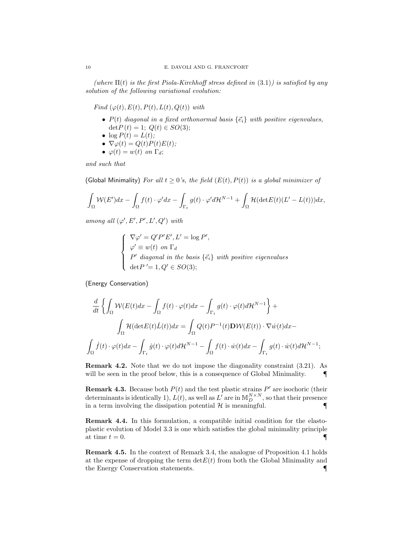(where  $\Pi(t)$  is the first Piola-Kirchhoff stress defined in (3.1)) is satisfied by any solution of the following variational evolution:

Find  $(\varphi(t), E(t), P(t), L(t), Q(t))$  with

- $P(t)$  diagonal in a fixed orthonormal basis  $\{\vec{e}_i\}$  with positive eigenvalues,  $\det P(t) = 1; Q(t) \in SO(3);$
- $\log P(t) = L(t);$
- $\nabla \varphi(t) = Q(t)P(t)E(t);$
- $\varphi(t) = w(t)$  on  $\Gamma_d$ ;

and such that

(Global Minimality) For all  $t \geq 0$ 's, the field  $(E(t), P(t))$  is a global minimizer of

$$
\int_{\Omega} \mathcal{W}(E')dx - \int_{\Omega} f(t) \cdot \varphi' dx - \int_{\Gamma_t} g(t) \cdot \varphi' d\mathcal{H}^{N-1} + \int_{\Omega} \mathcal{H}(\det E(t)(L'-L(t)))dx,
$$

among all  $(\varphi', E', P', L', Q')$  with

$$
\begin{cases}\n\nabla \varphi' = Q'P'E', L' = \log P',\n\varphi' \equiv w(t) \text{ on } \Gamma_d\nP' diagonal in the basis  $\{\vec{e}_i\}$  with positive eigenvalues  
\n $\det P' = 1, Q' \in SO(3);$ \n\end{cases}
$$

(Energy Conservation)

$$
\frac{d}{dt} \left\{ \int_{\Omega} \mathcal{W}(E(t)dx - \int_{\Omega} f(t) \cdot \varphi(t)dx - \int_{\Gamma_t} g(t) \cdot \varphi(t)d\mathcal{H}^{N-1} \right\} +
$$
  

$$
\int_{\Omega} \mathcal{H}(\det E(t)\dot{L}(t))dx = \int_{\Omega} Q(t)P^{-1}(t)\mathbf{D}\mathcal{W}(E(t)) \cdot \nabla \dot{w}(t)dx -
$$
  

$$
\int_{\Omega} \dot{f}(t) \cdot \varphi(t)dx - \int_{\Gamma_t} \dot{g}(t) \cdot \varphi(t)d\mathcal{H}^{N-1} - \int_{\Omega} f(t) \cdot \dot{w}(t)dx - \int_{\Gamma_t} g(t) \cdot \dot{w}(t)d\mathcal{H}^{N-1};
$$

Remark 4.2. Note that we do not impose the diagonality constraint (3.21). As will be seen in the proof below, this is a consequence of Global Minimality.  $\blacksquare$ 

**Remark 4.3.** Because both  $P(t)$  and the test plastic strains  $P'$  are isochoric (their determinants is identically 1),  $L(t)$ , as well as  $L'$  are in  $\mathbb{M}_{D}^{N\times N}$ , so that their presence in a term involving the dissipation potential  $\mathcal{H}$  is meaningful.

Remark 4.4. In this formulation, a compatible initial condition for the elastoplastic evolution of Model 3.3 is one which satisfies the global minimality principle at time  $t = 0$ .

Remark 4.5. In the context of Remark 3.4, the analogue of Proposition 4.1 holds at the expense of dropping the term  $\det E(t)$  from both the Global Minimality and the Energy Conservation statements. ¶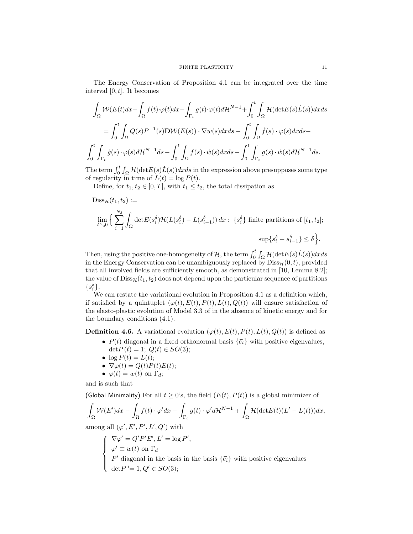The Energy Conservation of Proposition 4.1 can be integrated over the time interval  $[0, t]$ . It becomes

$$
\int_{\Omega} \mathcal{W}(E(t)dx - \int_{\Omega} f(t) \cdot \varphi(t)dx - \int_{\Gamma_t} g(t) \cdot \varphi(t)d\mathcal{H}^{N-1} + \int_0^t \int_{\Omega} \mathcal{H}(\det E(s)\dot{L}(s))dxds
$$
  
\n
$$
= \int_0^t \int_{\Omega} Q(s)P^{-1}(s)\mathbf{D}\mathcal{W}(E(s)) \cdot \nabla \dot{w}(s)dxds - \int_0^t \int_{\Omega} \dot{f}(s) \cdot \varphi(s)dxds - \int_0^t \int_{\Gamma_t} g(s) \cdot \varphi(s)d\mathcal{H}^{N-1}ds.
$$

The term  $\int_0^t \int_{\Omega} \mathcal{H}(\det E(s) L(s))dxds$  in the expression above presupposes some type of regularity in time of  $L(t) = \log P(t)$ .

Define, for  $t_1, t_2 \in [0, T]$ , with  $t_1 \leq t_2$ , the total dissipation as

$$
\begin{aligned} \text{Diss}_{\mathcal{H}}(t_1, t_2) &:= \\ &\lim_{\delta \searrow 0} \Big\{ \sum_{i=1}^{N_{\delta}} \int_{\Omega} \det E(s_i^{\delta}) \mathcal{H}(L(s_i^{\delta}) - L(s_{i-1}^{\delta})) \, dx: \; \{s_i^{\delta}\} \text{ finite partitions of } [t_1, t_2]; \\ &\sup\{s_i^{\delta} - s_{i-1}^{\delta}\} \leq \delta \Big\}. \end{aligned}
$$

Then, using the positive one-homogeneity of  $H$ , the term  $\int_0^t \int_{\Omega} \mathcal{H}(\det E(s) L(s)) dx ds$ in the Energy Conservation can be unambiguously replaced by  $\text{Diss}_{\mathcal{H}}(0, t)$ , provided that all involved fields are sufficiently smooth, as demonstrated in [10, Lemma 8.2]; the value of  $\text{Diss}_{\mathcal{H}}(t_1, t_2)$  does not depend upon the particular sequence of partitions  $\{s_i^{\delta}\}.$ 

We can restate the variational evolution in Proposition 4.1 as a definition which, if satisfied by a quintuplet  $(\varphi(t), E(t), P(t), L(t), Q(t))$  will ensure satisfaction of the elasto-plastic evolution of Model 3.3 of in the absence of kinetic energy and for the boundary conditions (4.1).

**Definition 4.6.** A variational evolution  $(\varphi(t), E(t), P(t), L(t), Q(t))$  is defined as

- $P(t)$  diagonal in a fixed orthonormal basis  $\{\vec{e}_i\}$  with positive eigenvalues,  $\det P(t) = 1$ ;  $Q(t) \in SO(3)$ ;
- $\log P(t) = L(t);$
- $\nabla \varphi(t) = Q(t)P(t)E(t);$
- $\varphi(t) = w(t)$  on  $\Gamma_d$ ;

and is such that

(Global Minimality) For all  $t \geq 0$ 's, the field  $(E(t), P(t))$  is a global minimizer of

$$
\int_{\Omega} \mathcal{W}(E')dx - \int_{\Omega} f(t) \cdot \varphi' dx - \int_{\Gamma_t} g(t) \cdot \varphi' d\mathcal{H}^{N-1} + \int_{\Omega} \mathcal{H}(\det E(t)(L'-L(t)))dx,
$$

among all  $(\varphi', E', P', L', Q')$  with

$$
\begin{cases} \nabla \varphi' = Q'P'E', L' = \log P', \\ \n\varphi' \equiv w(t) \text{ on } \Gamma_d \\ \nP' \text{ diagonal in the basis in the basis } \{\vec{e_i}\} \text{ with positive eigenvalues} \\ \n\det P' = 1, Q' \in SO(3); \n\end{cases}
$$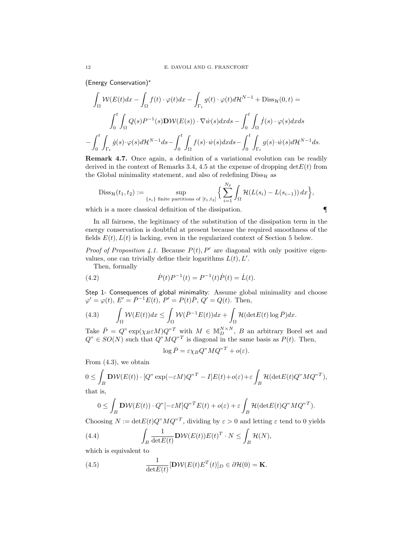(Energy Conservation)?

$$
\int_{\Omega} \mathcal{W}(E(t)dx - \int_{\Omega} f(t) \cdot \varphi(t)dx - \int_{\Gamma_t} g(t) \cdot \varphi(t)d\mathcal{H}^{N-1} + \text{Diss}_{\mathcal{H}}(0, t) =
$$
\n
$$
\int_0^t \int_{\Omega} Q(s)P^{-1}(s)\mathbf{D}\mathcal{W}(E(s)) \cdot \nabla \dot{w}(s)dx ds - \int_0^t \int_{\Omega} \dot{f}(s) \cdot \varphi(s)dx ds
$$
\n
$$
-\int_0^t \int_{\Gamma_t} \dot{g}(s) \cdot \varphi(s)d\mathcal{H}^{N-1}ds - \int_0^t \int_{\Omega} f(s) \cdot \dot{w}(s)dx ds - \int_0^t \int_{\Gamma_t} g(s) \cdot \dot{w}(s)d\mathcal{H}^{N-1}ds.
$$

Remark 4.7. Once again, a definition of a variational evolution can be readily derived in the context of Remarks 3.4, 4.5 at the expense of dropping  $\det E(t)$  from the Global minimality statement, and also of redefining  $Dis_{\mathcal{H}}$  as

$$
\text{Diss}_{\mathcal{H}}(t_1, t_2) := \sup_{\{s_i\} \text{ finite partitions of } [t_1, t_2]} \Big\{ \sum_{i=1}^{N_{\delta}} \int_{\Omega} \mathcal{H}(L(s_i) - L(s_{i-1})) \, dx \Big\},
$$

which is a more classical definition of the dissipation.

In all fairness, the legitimacy of the substitution of the dissipation term in the energy conservation is doubtful at present because the required smoothness of the fields 
$$
E(t)
$$
,  $L(t)$  is lacking, even in the regularized context of Section 5 below.

*Proof of Proposition 4.1.* Because  $P(t)$ ,  $P'$  are diagonal with only positive eigenvalues, one can trivially define their logarithms  $L(t)$ ,  $L'$ .

Then, formally

(4.2) 
$$
\dot{P}(t)P^{-1}(t) = P^{-1}(t)\dot{P}(t) = \dot{L}(t).
$$

Step 1- Consequences of global minimality: Assume global minimality and choose  $\varphi' = \varphi(t), E' = \bar{P}^{-1}E(t), P' = P(t)\bar{P}, Q' = Q(t).$  Then,

(4.3) 
$$
\int_{\Omega} \mathcal{W}(E(t))dx \leq \int_{\Omega} \mathcal{W}(\bar{P}^{-1}E(t))dx + \int_{\Omega} \mathcal{H}(\det E(t) \log \bar{P})dx.
$$

Take  $\bar{P} = Q^{\nu} \exp(\chi_B \varepsilon M) Q^{\nu T}$  with  $M \in M_D^{N \times N}$ , B an arbitrary Borel set and  $Q^{\prime\prime} \in SO(N)$  such that  $Q^{\prime\prime}MQ^{\prime\prime}$  is diagonal in the same basis as  $P(t)$ . Then,

$$
\log \bar{P} = \varepsilon \chi_B Q^{\prime\prime} M Q^{\prime\prime}{}^T + o(\varepsilon).
$$

From (4.3), we obtain

$$
0 \leq \int_B \mathbf{D}\mathcal{W}(E(t)) \cdot [Q"\exp(-\varepsilon M)Q^{T} - I]E(t) + o(\varepsilon) + \varepsilon \int_B \mathcal{H}(\det E(t)Q^{T}MQ^{T}),
$$
 that is,

$$
0 \leq \int_B \mathbf{D}\mathcal{W}(E(t)) \cdot Q^{\prime\prime} \left[ -\varepsilon M \right] Q^{\prime\prime}{}^T E(t) + o(\varepsilon) + \varepsilon \int_B \mathcal{H}(\det E(t) Q^{\prime\prime} M Q^{\prime\prime}{}^T).
$$

Choosing  $N := det E(t) Q^{\gamma} M Q^{\gamma}$ , dividing by  $\varepsilon > 0$  and letting  $\varepsilon$  tend to 0 yields

(4.4) 
$$
\int_{B} \frac{1}{\det E(t)} \mathbf{D} \mathcal{W}(E(t)) E(t)^{T} \cdot N \leq \int_{B} \mathcal{H}(N),
$$

which is equivalent to

(4.5) 
$$
\frac{1}{\det E(t)}[\mathbf{D}\mathcal{W}(E(t)E^{T}(t)]_{D} \in \partial \mathcal{H}(0) = \mathbf{K}.
$$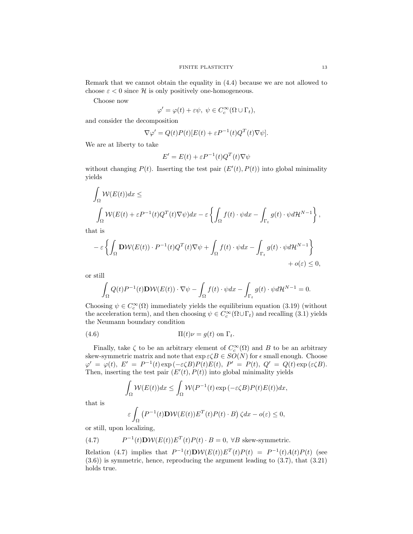Remark that we cannot obtain the equality in (4.4) because we are not allowed to choose  $\varepsilon$  < 0 since H is only positively one-homogeneous.

Choose now

$$
\varphi' = \varphi(t) + \varepsilon \psi, \ \psi \in C_c^{\infty}(\Omega \cup \Gamma_t),
$$

and consider the decomposition

$$
\nabla \varphi' = Q(t)P(t)[E(t) + \varepsilon P^{-1}(t)Q^{T}(t)\nabla \psi].
$$

We are at liberty to take

$$
E' = E(t) + \varepsilon P^{-1}(t)Q^{T}(t)\nabla\psi
$$

without changing  $P(t)$ . Inserting the test pair  $(E'(t), P(t))$  into global minimality yields

$$
\int_{\Omega} \mathcal{W}(E(t))dx \le
$$
\n
$$
\int_{\Omega} \mathcal{W}(E(t) + \varepsilon P^{-1}(t)Q^{T}(t)\nabla\psi)dx - \varepsilon \left\{ \int_{\Omega} f(t) \cdot \psi dx - \int_{\Gamma_{t}} g(t) \cdot \psi d\mathcal{H}^{N-1} \right\},
$$

that is

$$
- \varepsilon \left\{ \int_{\Omega} \mathbf{D} \mathcal{W}(E(t)) \cdot P^{-1}(t) Q^{T}(t) \nabla \psi + \int_{\Omega} f(t) \cdot \psi dx - \int_{\Gamma_{t}} g(t) \cdot \psi d\mathcal{H}^{N-1} \right\} + o(\varepsilon) \leq 0,
$$

or still

$$
\int_{\Omega} Q(t) P^{-1}(t) \mathbf{D} \mathcal{W}(E(t)) \cdot \nabla \psi - \int_{\Omega} f(t) \cdot \psi dx - \int_{\Gamma_t} g(t) \cdot \psi d\mathcal{H}^{N-1} = 0.
$$

Choosing  $\psi \in C_c^{\infty}(\Omega)$  immediately yields the equilibrium equation (3.19) (without the acceleration term), and then choosing  $\psi \in C_c^{\infty}(\Omega \cup \Gamma_t)$  and recalling (3.1) yields the Neumann boundary condition

(4.6) 
$$
\Pi(t)\nu = g(t) \text{ on } \Gamma_t.
$$

Finally, take  $\zeta$  to be an arbitrary element of  $C_c^{\infty}(\Omega)$  and B to be an arbitrary skew-symmetric matrix and note that  $\exp\varepsilon\zeta B\in SO(N)$  for  $\epsilon$  small enough. Choose  $\varphi' = \varphi(t), E' = P^{-1}(t) \exp(-\varepsilon \zeta B) P(t) E(t), P' = P(t), Q' = Q(t) \exp(\varepsilon \zeta B).$ Then, inserting the test pair  $(E'(t), P(t))$  into global minimality yields

$$
\int_{\Omega} \mathcal{W}(E(t))dx \le \int_{\Omega} \mathcal{W}(P^{-1}(t)\exp(-\varepsilon\zeta B)P(t)E(t))dx,
$$

that is

$$
\varepsilon \int_{\Omega} \left( P^{-1}(t) \mathbf{D} \mathcal{W}(E(t)) E^{T}(t) P(t) \cdot B \right) \zeta dx - o(\varepsilon) \leq 0,
$$

or still, upon localizing,

(4.7) 
$$
P^{-1}(t)\mathbf{D}\mathcal{W}(E(t))E^{T}(t)P(t) \cdot B = 0, \ \forall B \text{ skew-symmetric.}
$$

Relation (4.7) implies that  $P^{-1}(t)D\mathcal{W}(E(t))E^{T}(t)P(t) = P^{-1}(t)A(t)P(t)$  (see (3.6)) is symmetric, hence, reproducing the argument leading to (3.7), that (3.21) holds true.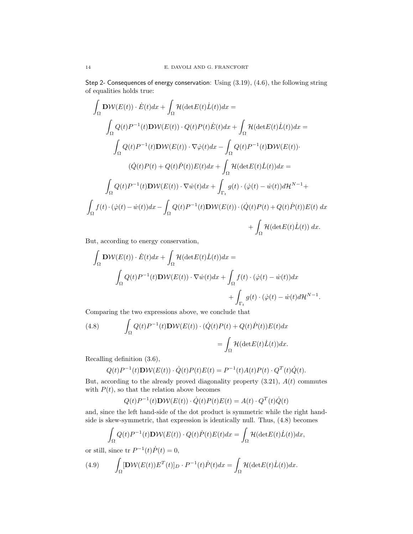Step 2- Consequences of energy conservation: Using (3.19), (4.6), the following string of equalities holds true:

$$
\int_{\Omega} \mathbf{D}W(E(t)) \cdot \dot{E}(t)dx + \int_{\Omega} \mathcal{H}(\det E(t)\dot{L}(t))dx =
$$
\n
$$
\int_{\Omega} Q(t)P^{-1}(t)\mathbf{D}W(E(t)) \cdot Q(t)P(t)\dot{E}(t)dx + \int_{\Omega} \mathcal{H}(\det E(t)\dot{L}(t))dx =
$$
\n
$$
\int_{\Omega} Q(t)P^{-1}(t)\mathbf{D}W(E(t)) \cdot \nabla \dot{\varphi}(t)dx - \int_{\Omega} Q(t)P^{-1}(t)\mathbf{D}W(E(t)) \cdot
$$
\n
$$
(\dot{Q}(t)P(t) + Q(t)\dot{P}(t))E(t)dx + \int_{\Omega} \mathcal{H}(\det E(t)\dot{L}(t))dx =
$$
\n
$$
\int_{\Omega} Q(t)P^{-1}(t)\mathbf{D}W(E(t)) \cdot \nabla \dot{w}(t)dx + \int_{\Gamma_t} g(t) \cdot (\dot{\varphi}(t) - \dot{w}(t))d\mathcal{H}^{N-1} +
$$
\n
$$
\int_{\Omega} f(t) \cdot (\dot{\varphi}(t) - \dot{w}(t))dx - \int_{\Omega} Q(t)P^{-1}(t)\mathbf{D}W(E(t)) \cdot (\dot{Q}(t)P(t) + Q(t)\dot{P}(t))E(t) dx
$$
\n
$$
+ \int_{\Omega} \mathcal{H}(\det E(t)\dot{L}(t)) dx.
$$

But, according to energy conservation,

$$
\int_{\Omega} \mathbf{D} \mathcal{W}(E(t)) \cdot \dot{E}(t) dx + \int_{\Omega} \mathcal{H}(\det E(t) \dot{L}(t)) dx =
$$
\n
$$
\int_{\Omega} Q(t) P^{-1}(t) \mathbf{D} \mathcal{W}(E(t)) \cdot \nabla \dot{w}(t) dx + \int_{\Omega} f(t) \cdot (\dot{\varphi}(t) - \dot{w}(t)) dx
$$
\n
$$
+ \int_{\Gamma_t} g(t) \cdot (\dot{\varphi}(t) - \dot{w}(t) d\mathcal{H}^{N-1}.
$$

Comparing the two expressions above, we conclude that

(4.8) 
$$
\int_{\Omega} Q(t)P^{-1}(t)\mathbf{D}\mathcal{W}(E(t)) \cdot (\dot{Q}(t)P(t) + Q(t)\dot{P}(t))E(t)dx
$$

$$
= \int_{\Omega} \mathcal{H}(\det E(t)\dot{L}(t))dx.
$$

Recalling definition (3.6),

$$
Q(t)P^{-1}(t)\mathbf{D}\mathcal{W}(E(t))\cdot \dot{Q}(t)P(t)E(t) = P^{-1}(t)A(t)P(t)\cdot Q^{T}(t)\dot{Q}(t).
$$

But, according to the already proved diagonality property  $(3.21)$ ,  $A(t)$  commutes with  $P(t)$ , so that the relation above becomes

$$
Q(t)P^{-1}(t)\mathbf{D}\mathcal{W}(E(t))\cdot\dot{Q}(t)P(t)E(t) = A(t)\cdot Q^{T}(t)\dot{Q}(t)
$$

and, since the left hand-side of the dot product is symmetric while the right handside is skew-symmetric, that expression is identically null. Thus, (4.8) becomes

$$
\int_{\Omega} Q(t)P^{-1}(t)\mathbf{D}\mathcal{W}(E(t))\cdot Q(t)\dot{P}(t)E(t)dx = \int_{\Omega} \mathcal{H}(\det E(t)\dot{L}(t))dx,
$$

or still, since tr  $P^{-1}(t)\dot{P}(t) = 0$ ,

(4.9) 
$$
\int_{\Omega} [\mathbf{D} \mathcal{W}(E(t)) E^{T}(t)]_{D} \cdot P^{-1}(t) \dot{P}(t) dx = \int_{\Omega} \mathcal{H}(\det E(t) \dot{L}(t)) dx.
$$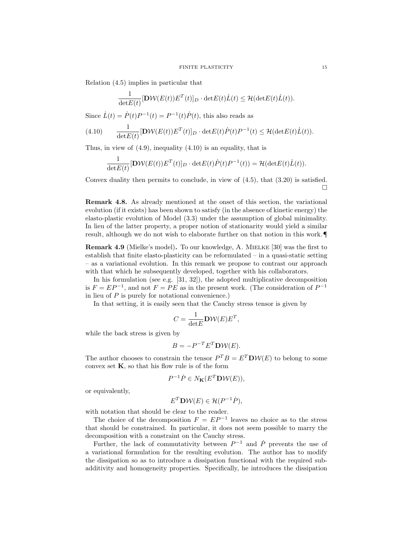Relation (4.5) implies in particular that

$$
\frac{1}{\det E(t)}[\mathbf{D} \mathcal{W}(E(t)) E^T(t)]_D \cdot \det E(t) \dot{L}(t) \leq \mathcal{H}(\det E(t) \dot{L}(t)).
$$

Since  $\dot{L}(t) = \dot{P}(t)P^{-1}(t) = P^{-1}(t)\dot{P}(t)$ , this also reads as

(4.10) 
$$
\frac{1}{\det E(t)}[\mathbf{D}\mathcal{W}(E(t))E^T(t)]_D \cdot \det E(t)\dot{P}(t)P^{-1}(t) \leq \mathcal{H}(\det E(t)\dot{L}(t)).
$$

Thus, in view of (4.9), inequality (4.10) is an equality, that is

$$
\frac{1}{\det E(t)}[\mathbf{D} \mathcal{W}(E(t))E^T(t)]_D \cdot \det E(t)\dot{P}(t)P^{-1}(t)) = \mathcal{H}(\det E(t)\dot{L}(t)).
$$

Convex duality then permits to conclude, in view of  $(4.5)$ , that  $(3.20)$  is satisfied.  $\Box$ 

Remark 4.8. As already mentioned at the onset of this section, the variational evolution (if it exists) has been shown to satisfy (in the absence of kinetic energy) the elasto-plastic evolution of Model (3.3) under the assumption of global minimality. In lieu of the latter property, a proper notion of stationarity would yield a similar result, although we do not wish to elaborate further on that notion in this work.¶

Remark 4.9 (Mielke's model). To our knowledge, A. Mielke [30] was the first to establish that finite elasto-plasticity can be reformulated – in a quasi-static setting – as a variational evolution. In this remark we propose to contrast our approach with that which he subsequently developed, together with his collaborators.

In his formulation (see e.g.  $[31, 32]$ ), the adopted multiplicative decomposition is  $F = E P^{-1}$ , and not  $F = PE$  as in the present work. (The consideration of  $P^{-1}$ in lieu of  $P$  is purely for notational convenience.)

In that setting, it is easily seen that the Cauchy stress tensor is given by

$$
C = \frac{1}{\det E} \mathbf{D} \mathcal{W}(E) E^T,
$$

while the back stress is given by

$$
B = -P^{-T}E^T \mathbf{D} \mathcal{W}(E).
$$

The author chooses to constrain the tensor  $P^T B = E^T \mathbf{D} \mathcal{W}(E)$  to belong to some convex set  $K$ , so that his flow rule is of the form

$$
P^{-1}\dot{P} \in N_{\mathbf{K}}(E^T \mathbf{D} \mathcal{W}(E)),
$$

or equivalently,

$$
E^T \mathbf{D} \mathcal{W}(E) \in \mathcal{H}(P^{-1}\dot{P}),
$$

with notation that should be clear to the reader.

The choice of the decomposition  $F = E P^{-1}$  leaves no choice as to the stress that should be constrained. In particular, it does not seem possible to marry the decomposition with a constraint on the Cauchy stress.

Further, the lack of commutativity between  $P^{-1}$  and  $\dot{P}$  prevents the use of a variational formulation for the resulting evolution. The author has to modify the dissipation so as to introduce a dissipation functional with the required subadditivity and homogeneity properties. Specifically, he introduces the dissipation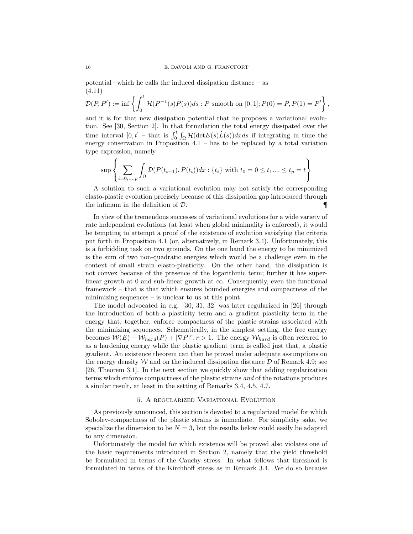potential –which he calls the induced dissipation distance – as (4.11)

$$
\mathcal{D}(P, P') := \inf \left\{ \int_0^1 \mathcal{H}(P^{-1}(s)\dot{P}(s))ds : P \text{ smooth on } [0,1]; P(0) = P, P(1) = P' \right\},\
$$

and it is for that new dissipation potential that he proposes a variational evolution. See [30, Section 2]. In that formulation the total energy dissipated over the time interval  $[0, t]$  – that is  $\int_0^t \int_{\Omega} \mathcal{H}(\det E(s) \dot{L}(s))dxds$  if integrating in time the energy conservation in Proposition 4.1 – has to be replaced by a total variation type expression, namely

$$
\sup \left\{ \sum_{i=0,...,p} \int_{\Omega} \mathcal{D}(P(t_{i-1}), P(t_i)) dx : \{t_i\} \text{ with } t_0 = 0 \le t_1 ... \le t_p = t \right\}
$$

A solution to such a variational evolution may not satisfy the corresponding elasto-plastic evolution precisely because of this dissipation gap introduced through the infimum in the definition of  $\mathcal{D}$ .

In view of the tremendous successes of variational evolutions for a wide variety of rate independent evolutions (at least when global minimality is enforced), it would be tempting to attempt a proof of the existence of evolution satisfying the criteria put forth in Proposition 4.1 (or, alternatively, in Remark 3.4). Unfortunately, this is a forbidding task on two grounds. On the one hand the energy to be minimized is the sum of two non-quadratic energies which would be a challenge even in the context of small strain elasto-plasticity. On the other hand, the dissipation is not convex because of the presence of the logarithmic term; further it has superlinear growth at 0 and sub-linear growth at  $\infty$ . Consequently, even the functional framework – that is that which ensures bounded energies and compactness of the minimizing sequences – is unclear to us at this point.

The model advocated in e.g. [30, 31, 32] was later regularized in [26] through the introduction of both a plasticity term and a gradient plasticity term in the energy that, together, enforce compactness of the plastic strains associated with the minimizing sequences. Schematically, in the simplest setting, the free energy becomes  $W(E) + W_{hard}(P) + |\nabla P|^r, r > 1$ . The energy  $W_{hard}$  is often referred to as a hardening energy while the plastic gradient term is called just that, a plastic gradient. An existence theorem can then be proved under adequate assumptions on the energy density  $W$  and on the induced dissipation distance  $D$  of Remark 4.9; see [26, Theorem 3.1]. In the next section we quickly show that adding regularization terms which enforce compactness of the plastic strains and of the rotations produces a similar result, at least in the setting of Remarks 3.4, 4.5, 4.7.

## 5. A regularized Variational Evolution

As previously announced, this section is devoted to a regularized model for which Sobolev-compactness of the plastic strains is immediate. For simplicity sake, we specialize the dimension to be  $N = 3$ , but the results below could easily be adapted to any dimension.

Unfortunately the model for which existence will be proved also violates one of the basic requirements introduced in Section 2, namely that the yield threshold be formulated in terms of the Cauchy stress. In what follows that threshold is formulated in terms of the Kirchhoff stress as in Remark 3.4. We do so because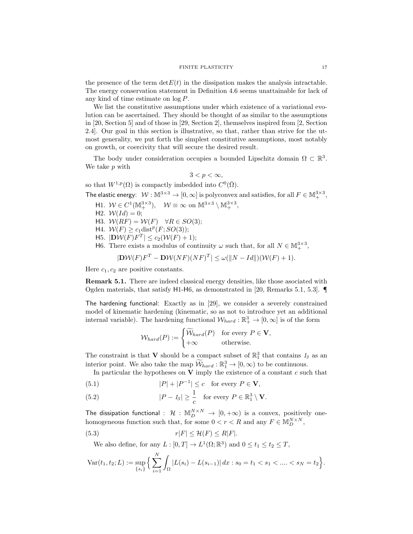the presence of the term  $\det E(t)$  in the dissipation makes the analysis intractable. The energy conservation statement in Definition 4.6 seems unattainable for lack of any kind of time estimate on log P.

We list the constitutive assumptions under which existence of a variational evolution can be ascertained. They should be thought of as similar to the assumptions in [20, Section 5] and of those in [29, Section 2], themselves inspired from [2, Section 2.4]. Our goal in this section is illustrative, so that, rather than strive for the utmost generality, we put forth the simplest constitutive assumptions, most notably on growth, or coercivity that will secure the desired result.

The body under consideration occupies a bounded Lipschitz domain  $\Omega \subset \mathbb{R}^3$ . We take p with

$$
3
$$

so that  $W^{1,p}(\Omega)$  is compactly imbedded into  $C^0(\overline{\Omega})$ .

The elastic energy:  $W:\mathbb{M}^{3\times 3}\to [0,\infty]$  is polyconvex and satisfies, for all  $F\in\mathbb{M}^{3\times 3}_+$ ,

- H1.  $W \in C^1(\mathbb{M}^{3\times3}_+), \quad W \equiv \infty$  on  $\mathbb{M}^{3\times3}_+ \setminus \mathbb{M}^{3\times3}_+$ ,
- H2.  $W(Id) = 0$ ;
- H3.  $W(RF) = W(F)$   $\forall R \in SO(3);$
- H4.  $W(F) \geq c_1 \text{dist}^p(F; SO(3));$
- H5.  $|{\rm D}W(F)F^{T}| \leq c_2(W(F) + 1);$
- H6. There exists a modulus of continuity  $\omega$  such that, for all  $N \in \mathbb{M}^{3 \times 3}_+$ ,

$$
|\mathbf{D}\mathcal{W}(F)F^{T} - \mathbf{D}\mathcal{W}(NF)(NF)^{T}| \leq \omega(||N - Id||)(\mathcal{W}(F) + 1).
$$

Here  $c_1, c_2$  are positive constants.

Remark 5.1. There are indeed classical energy densities, like those asociated with Ogden materials, that satisfy H1-H6, as demonstrated in [20, Remarks 5.1, 5.3]. ¶

The hardening functional: Exactly as in [29], we consider a severely constrained model of kinematic hardening (kinematic, so as not to introduce yet an additional internal variable). The hardening functional  $\mathcal{W}_{hard} : \mathbb{R}^3_+ \to [0, \infty]$  is of the form

$$
\mathcal{W}_{hard}(P) := \begin{cases} \widetilde{\mathcal{W}}_{hard}(P) & \text{for every } P \in \mathbf{V}, \\ +\infty & \text{otherwise.} \end{cases}
$$

The constraint is that **V** should be a compact subset of  $\mathbb{R}^3$  that contains  $1_3$  as an interior point. We also take the map  $\widetilde{W}_{hard} : \mathbb{R}^3_1 \to [0, \infty)$  to be continuous.

In particular the hypotheses on  $V$  imply the existence of a constant  $c$  such that

(5.1) 
$$
|P|+|P^{-1}| \leq c \quad \text{for every } P \in \mathbf{V},
$$

(5.2) 
$$
|P - 1_3| \geq \frac{1}{c} \text{ for every } P \in \mathbb{R}_1^3 \setminus \mathbf{V}.
$$

The dissipation functional :  $\mathcal{H}$  :  $\mathbb{M}_{D}^{N\times N}$   $\rightarrow$   $[0,+\infty)$  is a convex, positively onehomogeneous function such that, for some  $0 < r < R$  and any  $F \in M_D^{N \times N}$ ,

(5.3) 
$$
r|F| \le \mathcal{H}(F) \le R|F|.
$$

We also define, for any  $L : [0, T] \to L^1(\Omega; \mathbb{R}^3)$  and  $0 \le t_1 \le t_2 \le T$ ,

$$
\text{Var}(t_1, t_2; L) := \sup_{\{s_i\}} \Big\{ \sum_{i=1}^N \int_{\Omega} |L(s_i) - L(s_{i-1})| \, dx : s_0 = t_1 < s_1 < \dots < s_N = t_2 \Big\}.
$$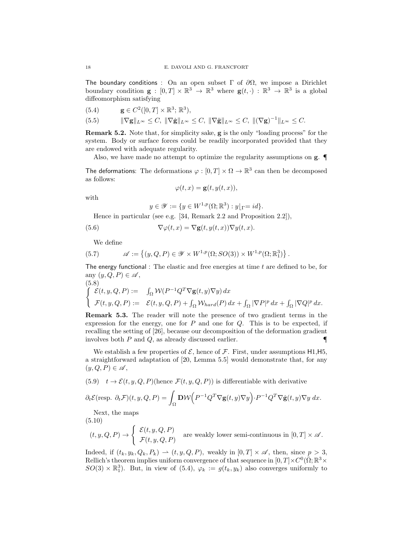The boundary conditions : On an open subset  $\Gamma$  of  $\partial\Omega$ , we impose a Dirichlet boundary condition  $\mathbf{g} : [0,T] \times \mathbb{R}^3 \to \mathbb{R}^3$  where  $\mathbf{g}(t, \cdot) : \mathbb{R}^3 \to \mathbb{R}^3$  is a global diffeomorphism satisfying

$$
(5.4) \qquad \qquad \mathbf{g} \in C^2([0,T] \times \mathbb{R}^3; \mathbb{R}^3),
$$

(5.5) 
$$
\|\nabla \mathbf{g}\|_{L^{\infty}} \leq C, \ \|\nabla \dot{\mathbf{g}}\|_{L^{\infty}} \leq C, \ \|\nabla \ddot{\mathbf{g}}\|_{L^{\infty}} \leq C, \ \|\nabla \mathbf{g}\|_{L^{\infty}} \leq C.
$$

Remark 5.2. Note that, for simplicity sake, g is the only "loading process" for the system. Body or surface forces could be readily incorporated provided that they are endowed with adequate regularity.

Also, we have made no attempt to optimize the regularity assumptions on g. ¶

The deformations: The deformations  $\varphi : [0, T] \times \Omega \to \mathbb{R}^3$  can then be decomposed as follows:

$$
\varphi(t,x) = \mathbf{g}(t,y(t,x)),
$$

with

 $y \in \mathscr{Y} := \{ y \in W^{1,p}(\Omega;\mathbb{R}^3) : y\vert_{\Gamma} = id \}.$ 

Hence in particular (see e.g. [34, Remark 2.2 and Proposition 2.2]),

(5.6) 
$$
\nabla \varphi(t,x) = \nabla \mathbf{g}(t, y(t,x)) \nabla y(t,x).
$$

We define

(5.7) 
$$
\mathscr{A} := \left\{ (y, Q, P) \in \mathscr{Y} \times W^{1, p}(\Omega; SO(3)) \times W^{1, p}(\Omega; \mathbb{R}^3_1) \right\}.
$$

The energy functional : The elastic and free energies at time  $t$  are defined to be, for any  $(y, Q, P) \in \mathscr{A}$ ,  $(5.8)$ 

$$
\begin{cases}\n\mathcal{E}(t, y, Q, P) := \int_{\Omega} \mathcal{W}(P^{-1}Q^T \nabla \mathbf{g}(t, y) \nabla y) dx \\
\mathcal{F}(t, y, Q, P) := \mathcal{E}(t, y, Q, P) + \int_{\Omega} \mathcal{W}_{hard}(P) dx + \int_{\Omega} |\nabla P|^p dx + \int_{\Omega} |\nabla Q|^p dx.\n\end{cases}
$$

Remark 5.3. The reader will note the presence of two gradient terms in the expression for the energy, one for  $P$  and one for  $Q$ . This is to be expected, if recalling the setting of [26], because our decomposition of the deformation gradient involves both  $P$  and  $Q$ , as already discussed earlier.  $\blacksquare$ 

We establish a few properties of  $\mathcal{E}$ , hence of  $\mathcal{F}$ . First, under assumptions H1,H5, a straightforward adaptation of [20, Lemma 5.5] would demonstrate that, for any  $(y, Q, P) \in \mathscr{A},$ 

(5.9)  $t \to \mathcal{E}(t, y, Q, P)$ (hence  $\mathcal{F}(t, y, Q, P)$ ) is differentiable with derivative

$$
\partial_t \mathcal{E}(\text{resp. }\partial_t \mathcal{F})(t,y,Q,P) = \int_{\Omega} \mathbf{D} \mathcal{W}\Big(P^{-1}Q^T \nabla \mathbf{g}(t,y) \nabla y\Big) \cdot P^{-1}Q^T \nabla \dot{\mathbf{g}}(t,y) \nabla y \, dx.
$$

Next, the maps

(5.10)

$$
(t, y, Q, P) \to \begin{cases} \mathcal{E}(t, y, Q, P) \\ \mathcal{F}(t, y, Q, P) \end{cases}
$$
 are weakly lower semi-continuous in  $[0, T] \times \mathscr{A}$ .

Indeed, if  $(t_k, y_k, Q_k, P_k) \rightharpoonup (t, y, Q, P)$ , weakly in  $[0, T] \times \mathscr{A}$ , then, since  $p > 3$ , Rellich's theorem implies uniform convergence of that sequence in  $[0, T] \times C^0(\bar{\Omega}; \mathbb{R}^3 \times$  $SO(3) \times \mathbb{R}^3$ . But, in view of  $(5.4)$ ,  $\varphi_k := g(t_k, y_k)$  also converges uniformly to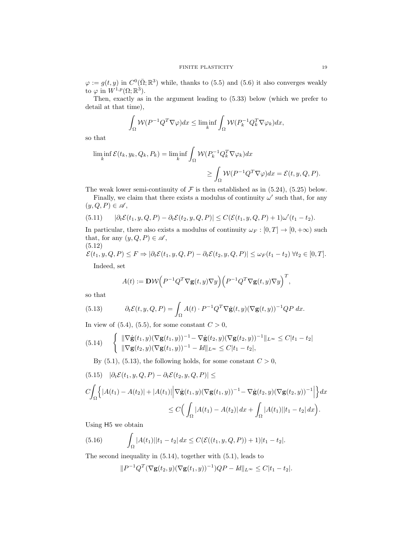$\varphi := g(t, y)$  in  $C^0(\overline{\Omega}; \mathbb{R}^3)$  while, thanks to (5.5) and (5.6) it also converges weakly to  $\varphi$  in  $W^{1,p}(\Omega;\mathbb{R}^3)$ .

Then, exactly as in the argument leading to (5.33) below (which we prefer to detail at that time),

$$
\int_{\Omega} \mathcal{W}(P^{-1}Q^T \nabla \varphi) dx \le \liminf_{k} \int_{\Omega} \mathcal{W}(P_k^{-1}Q_k^T \nabla \varphi_k) dx,
$$

so that

$$
\liminf_{k} \mathcal{E}(t_k, y_k, Q_k, P_k) = \liminf_{k} \int_{\Omega} \mathcal{W}(P_k^{-1} Q_k^T \nabla \varphi_k) dx
$$
  

$$
\geq \int_{\Omega} \mathcal{W}(P^{-1} Q^T \nabla \varphi) dx = \mathcal{E}(t, y, Q, P).
$$

The weak lower semi-continuity of  $\mathcal F$  is then established as in (5.24), (5.25) below.

Finally, we claim that there exists a modulus of continuity  $\omega'$  such that, for any  $(y, Q, P) \in \mathscr{A},$ 

(5.11) 
$$
|\partial_t \mathcal{E}(t_1, y, Q, P) - \partial_t \mathcal{E}(t_2, y, Q, P)| \leq C(\mathcal{E}(t_1, y, Q, P) + 1)\omega'(t_1 - t_2).
$$

In particular, there also exists a modulus of continuity  $\omega_F : [0, T] \to [0, +\infty)$  such that, for any  $(y, Q, P) \in \mathscr{A}$ , (5.12)

$$
\mathcal{E}(t_1, y, Q, P) \le F \Rightarrow |\partial_t \mathcal{E}(t_1, y, Q, P) - \partial_t \mathcal{E}(t_2, y, Q, P)| \le \omega_F(t_1 - t_2) \,\forall t_2 \in [0, T].
$$
  
Indeed. set

Indeed, set

$$
A(t) := \mathbf{D}\mathcal{W}\Big(P^{-1}Q^T\nabla \mathbf{g}(t,y)\nabla y\Big)\Big(P^{-1}Q^T\nabla \mathbf{g}(t,y)\nabla y\Big)^T,
$$

so that

(5.13) 
$$
\partial_t \mathcal{E}(t, y, Q, P) = \int_{\Omega} A(t) \cdot P^{-1} Q^T \nabla \dot{\mathbf{g}}(t, y) (\nabla \mathbf{g}(t, y))^{-1} Q P dx.
$$

In view of  $(5.4)$ ,  $(5.5)$ , for some constant  $C > 0$ ,

$$
(5.14) \quad \begin{cases} \|\nabla \dot{\mathbf{g}}(t_1, y) (\nabla \mathbf{g}(t_1, y))^{-1} - \nabla \dot{\mathbf{g}}(t_2, y) (\nabla \mathbf{g}(t_2, y))^{-1} \|_{L^\infty} \le C|t_1 - t_2| \\ \|\nabla \mathbf{g}(t_2, y) (\nabla \mathbf{g}(t_1, y))^{-1} - Id\|_{L^\infty} \le C|t_1 - t_2|, \end{cases}
$$

By (5.1), (5.13), the following holds, for some constant  $C > 0$ ,

$$
(5.15) \quad |\partial_t \mathcal{E}(t_1, y, Q, P) - \partial_t \mathcal{E}(t_2, y, Q, P)| \le
$$
  

$$
C \int_{\Omega} \left\{ |A(t_1) - A(t_2)| + |A(t_1)| \Big| \nabla \dot{\mathbf{g}}(t_1, y) (\nabla \mathbf{g}(t_1, y))^{-1} - \nabla \dot{\mathbf{g}}(t_2, y) (\nabla \mathbf{g}(t_2, y))^{-1} \Big| \right\} dx
$$
  

$$
\leq C \Big( \int_{\Omega} |A(t_1) - A(t_2)| dx + \int_{\Omega} |A(t_1)| |t_1 - t_2| dx \Big).
$$

Using H5 we obtain

(5.16) 
$$
\int_{\Omega} |A(t_1)||t_1-t_2| dx \leq C(\mathcal{E}((t_1,y,Q,P)) + 1)|t_1-t_2|.
$$

The second inequality in (5.14), together with (5.1), leads to

$$
||P^{-1}Q^{T}(\nabla \mathbf{g}(t_2, y)(\nabla \mathbf{g}(t_1, y))^{-1})QP - Id||_{L^{\infty}} \leq C|t_1 - t_2|.
$$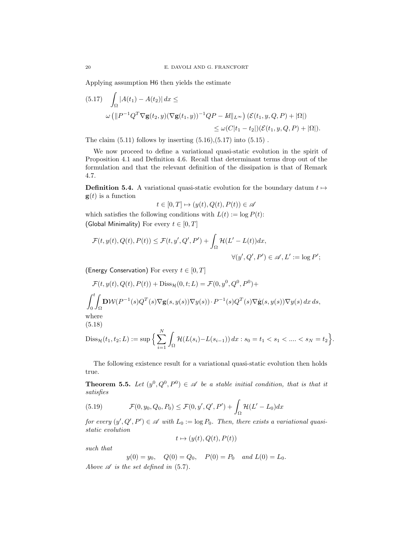Applying assumption H6 then yields the estimate

$$
(5.17) \quad \int_{\Omega} |A(t_1) - A(t_2)| dx \le
$$
  

$$
\omega (\|P^{-1}Q^T \nabla \mathbf{g}(t_2, y) (\nabla \mathbf{g}(t_1, y))^{-1} Q P - Id\|_{L^{\infty}}) (\mathcal{E}(t_1, y, Q, P) + |\Omega|)
$$
  

$$
\leq \omega (C|t_1 - t_2|) (\mathcal{E}(t_1, y, Q, P) + |\Omega|).
$$

The claim  $(5.11)$  follows by inserting  $(5.16),(5.17)$  into  $(5.15)$ .

We now proceed to define a variational quasi-static evolution in the spirit of Proposition 4.1 and Definition 4.6. Recall that determinant terms drop out of the formulation and that the relevant definition of the dissipation is that of Remark 4.7.

**Definition 5.4.** A variational quasi-static evolution for the boundary datum  $t \mapsto$  $\mathbf{g}(t)$  is a function

$$
t \in [0, T] \mapsto (y(t), Q(t), P(t)) \in \mathscr{A}
$$

which satisfies the following conditions with  $L(t) := \log P(t)$ : (Global Minimality) For every  $t \in [0, T]$ 

$$
\mathcal{F}(t, y(t), Q(t), P(t)) \le \mathcal{F}(t, y', Q', P') + \int_{\Omega} \mathcal{H}(L' - L(t))dx,
$$
  

$$
\forall (y', Q', P') \in \mathscr{A}, L' := \log P';
$$

(Energy Conservation) For every  $t \in [0, T]$ 

$$
\mathcal{F}(t, y(t), Q(t), P(t)) + \text{Diss}_{\mathcal{H}}(0, t; L) = \mathcal{F}(0, y^0, Q^0, P^0) +
$$
  

$$
\int_0^t \int_{\Omega} \mathbf{D}\mathcal{W}(P^{-1}(s)Q^T(s)\nabla \mathbf{g}(s, y(s))\nabla y(s)) \cdot P^{-1}(s)Q^T(s)\nabla \dot{\mathbf{g}}(s, y(s))\nabla y(s) dx ds,
$$
  
where  
(5.18)

$$
\text{Diss}_{\mathcal{H}}(t_1, t_2; L) := \sup \Big\{ \sum_{i=1}^N \int_{\Omega} \mathcal{H}(L(s_i) - L(s_{i-1})) \, dx : s_0 = t_1 < s_1 < \dots < s_N = t_2 \Big\}.
$$

The following existence result for a variational quasi-static evolution then holds true.

**Theorem 5.5.** Let  $(y^0, Q^0, P^0) \in \mathcal{A}$  be a stable initial condition, that is that it satisfies

(5.19) 
$$
\mathcal{F}(0, y_0, Q_0, P_0) \leq \mathcal{F}(0, y', Q', P') + \int_{\Omega} \mathcal{H}(L' - L_0) dx
$$

for every  $(y', Q', P') \in \mathscr{A}$  with  $L_0 := \log P_0$ . Then, there exists a variational quasistatic evolution

 $t \mapsto (y(t), Q(t), P(t))$ 

such that

$$
y(0) = y_0, \quad Q(0) = Q_0, \quad P(0) = P_0 \quad and \ L(0) = L_0.
$$
  
Above  $\mathscr A$  is the set defined in (5.7).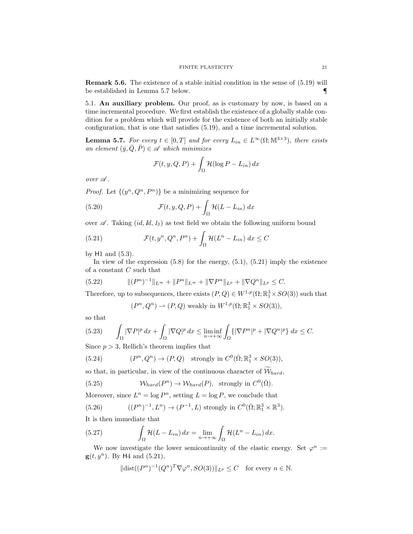Remark 5.6. The existence of a stable initial condition in the sense of (5.19) will be established in Lemma 5.7 below.

5.1. An auxiliary problem. Our proof, as is customary by now, is based on a time incremental procedure. We first establish the existence of a globally stable condition for a problem which will provide for the existence of both an initially stable configuration, that is one that satisfies (5.19), and a time incremental solution.

**Lemma 5.7.** For every  $t \in [0, T]$  and for every  $L_{in} \in L^{\infty}(\Omega; \mathbb{M}^{3 \times 3})$ , there exists an element  $(\bar{y}, \bar{Q}, \bar{P}) \in \mathscr{A}$  which minimizes

$$
\mathcal{F}(t, y, Q, P) + \int_{\Omega} \mathcal{H}(\log P - L_{in}) dx
$$

over A .

*Proof.* Let  $\{(y^n, Q^n, P^n)\}\)$  be a minimizing sequence for

(5.20) 
$$
\mathcal{F}(t, y, Q, P) + \int_{\Omega} \mathcal{H}(L - L_{in}) dx
$$

over  $\mathscr A$ . Taking  $(id, Id, 1_3)$  as test field we obtain the following uniform bound

(5.21) 
$$
\mathcal{F}(t, y^n, Q^n, P^n) + \int_{\Omega} \mathcal{H}(L^n - L_{in}) dx \leq C
$$

by H1 and (5.3).

In view of the expression  $(5.8)$  for the energy,  $(5.1)$ ,  $(5.21)$  imply the existence of a constant  $C$  such that

(5.22) 
$$
\|(P^n)^{-1}\|_{L^{\infty}} + \|P^n\|_{L^{\infty}} + \|\nabla P^n\|_{L^p} + \|\nabla Q^n\|_{L^p} \leq C.
$$

Therefore, up to subsequences, there exists  $(P,Q) \in W^{1,p}(\Omega;\mathbb{R}^3_1 \times SO(3))$  such that

 $(P^n, Q^n) \rightharpoonup (P, Q)$  weakly in  $W^{1,p}(\Omega; \mathbb{R}^3_1 \times SO(3)),$ 

so that

$$
(5.23) \qquad \int_{\Omega} |\nabla P|^p \, dx + \int_{\Omega} |\nabla Q|^p \, dx \le \liminf_{n \to +\infty} \int_{\Omega} \{ |\nabla P^n|^p + |\nabla Q^n|^p \} \, dx \le C.
$$

Since  $p > 3$ , Rellich's theorem implies that

(5.24) 
$$
(P^n, Q^n) \to (P, Q) \text{ strongly in } C^0(\bar{\Omega}; \mathbb{R}^3_1 \times SO(3)),
$$

so that, in particular, in view of the continuous character of  $W_{hard}$ ,

(5.25) 
$$
W_{hard}(P^n) \to W_{hard}(P), \text{ strongly in } C^0(\bar{\Omega}).
$$

Moreover, since  $L^n = \log P^n$ , setting  $L = \log P$ , we conclude that

(5.26) 
$$
((P^n)^{-1}, L^n) \to (P^{-1}, L)
$$
 strongly in  $C^0(\bar{\Omega}; \mathbb{R}^3_1 \times \mathbb{R}^3)$ .

It is then immediate that

(5.27) 
$$
\int_{\Omega} \mathcal{H}(L - L_{in}) dx = \lim_{n \to +\infty} \int_{\Omega} \mathcal{H}(L^{n} - L_{in}) dx.
$$

We now investigate the lower semicontinuity of the elastic energy. Set  $\varphi^n :=$  $g(t, y^n)$ . By H4 and (5.21),

$$
\|\text{dist}((P^n)^{-1}(Q^n)^T \nabla \varphi^n, SO(3))\|_{L^p} \le C \quad \text{for every } n \in \mathbb{N}.
$$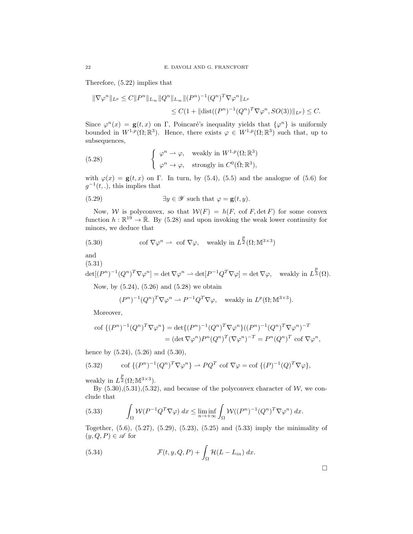Therefore, (5.22) implies that

$$
\|\nabla \varphi^n\|_{L^p} \le C \|P^n\|_{L_\infty} \|Q^n\|_{L_\infty} \|(P^n)^{-1}(Q^n)^T \nabla \varphi^n\|_{L^p}
$$
  

$$
\le C(1 + \|dist((P^n)^{-1}(Q^n)^T \nabla \varphi^n, SO(3))\|_{L^p}) \le C.
$$

Since  $\varphi^{n}(x) = \mathbf{g}(t, x)$  on  $\Gamma$ , Poincaré's inequality yields that  $\{\varphi^{n}\}\$ is uniformly bounded in  $W^{1,p}(\Omega;\mathbb{R}^3)$ . Hence, there exists  $\varphi \in W^{1,p}(\Omega;\mathbb{R}^3)$  such that, up to subsequences,

(5.28) 
$$
\begin{cases} \varphi^n \to \varphi, & \text{weakly in } W^{1,p}(\Omega; \mathbb{R}^3) \\ \varphi^n \to \varphi, & \text{strongly in } C^0(\bar{\Omega}; \mathbb{R}^3), \end{cases}
$$

with  $\varphi(x) = \mathbf{g}(t, x)$  on  $\Gamma$ . In turn, by (5.4), (5.5) and the analogue of (5.6) for  $g^{-1}(t,.)$ , this implies that

(5.29) 
$$
\exists y \in \mathscr{Y} \text{ such that } \varphi = \mathbf{g}(t, y).
$$

Now, W is polyconvex, so that  $W(F) = h(F, \text{ cof } F, \det F)$  for some convex function  $h : \mathbb{R}^{19} \to \bar{\mathbb{R}}$ . By (5.28) and upon invoking the weak lower continuity for minors, we deduce that

(5.30) 
$$
\text{cof } \nabla \varphi^n \rightharpoonup \text{cof } \nabla \varphi, \quad \text{weakly in } L^{\frac{p}{2}}(\Omega; \mathbb{M}^{3 \times 3})
$$

and

(5.31)

$$
\det[(P^n)^{-1}(Q^n)^T \nabla \varphi^n] = \det \nabla \varphi^n \rightharpoonup \det[P^{-1}Q^T \nabla \varphi] = \det \nabla \varphi, \quad \text{weakly in } L^{\frac{p}{3}}(\Omega).
$$

Now, by (5.24), (5.26) and (5.28) we obtain

$$
(P^n)^{-1}(Q^n)^T \nabla \varphi^n \rightharpoonup P^{-1}Q^T \nabla \varphi
$$
, weakly in  $L^p(\Omega; \mathbb{M}^{3 \times 3})$ .

Moreover,

$$
\begin{aligned} \operatorname{cof} \{ (P^n)^{-1} (Q^n)^T \nabla \varphi^n \} &= \det \{ (P^n)^{-1} (Q^n)^T \nabla \varphi^n \} ( (P^n)^{-1} (Q^n)^T \nabla \varphi^n )^{-T} \\ &= (\det \nabla \varphi^n) P^n (Q^n)^T (\nabla \varphi^n)^{-T} = P^n (Q^n)^T \operatorname{cof} \nabla \varphi^n, \end{aligned}
$$

hence by  $(5.24)$ ,  $(5.26)$  and  $(5.30)$ ,

(5.32) 
$$
\operatorname{cof} \{ (P^n)^{-1} (Q^n)^T \nabla \varphi^n \} \rightharpoonup PQ^T \operatorname{cof} \nabla \varphi = \operatorname{cof} \{ (P)^{-1} (Q)^T \nabla \varphi \},
$$

weakly in  $L^{\frac{p}{2}}(\Omega;\mathbb{M}^{3\times3}).$ 

By  $(5.30),(5.31),(5.32)$ , and because of the polyconvex character of W, we conclude that

(5.33) 
$$
\int_{\Omega} \mathcal{W}(P^{-1}Q^T \nabla \varphi) dx \le \liminf_{n \to +\infty} \int_{\Omega} \mathcal{W}((P^n)^{-1}(Q^n)^T \nabla \varphi^n) dx.
$$

Together, (5.6), (5.27), (5.29), (5.23), (5.25) and (5.33) imply the minimality of  $(y, Q, P) \in \mathscr{A}$  for

(5.34) 
$$
\mathcal{F}(t,y,Q,P) + \int_{\Omega} \mathcal{H}(L - L_{in}) dx.
$$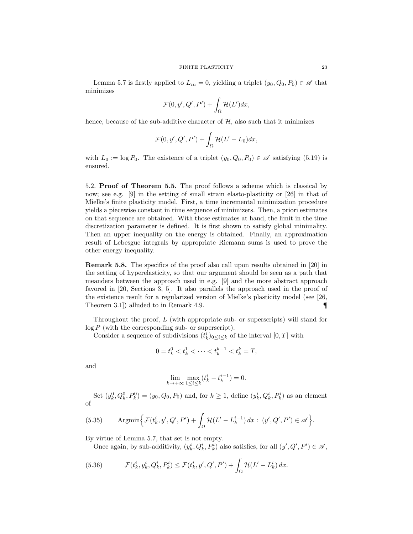Lemma 5.7 is firstly applied to  $L_{in} = 0$ , yielding a triplet  $(y_0, Q_0, P_0) \in \mathscr{A}$  that minimizes

$$
\mathcal{F}(0,y',Q',P') + \int_{\Omega} \mathcal{H}(L')dx,
$$

hence, because of the sub-additive character of  $H$ , also such that it minimizes

$$
\mathcal{F}(0,y',Q',P') + \int_{\Omega} \mathcal{H}(L'-L_0)dx,
$$

with  $L_0 := \log P_0$ . The existence of a triplet  $(y_0, Q_0, P_0) \in \mathscr{A}$  satisfying (5.19) is ensured.

5.2. Proof of Theorem 5.5. The proof follows a scheme which is classical by now; see e.g. [9] in the setting of small strain elasto-plasticity or [26] in that of Mielke's finite plasticity model. First, a time incremental minimization procedure yields a piecewise constant in time sequence of minimizers. Then, a priori estimates on that sequence are obtained. With those estimates at hand, the limit in the time discretization parameter is defined. It is first shown to satisfy global minimality. Then an upper inequality on the energy is obtained. Finally, an approximation result of Lebesgue integrals by appropriate Riemann sums is used to prove the other energy inequality.

Remark 5.8. The specifics of the proof also call upon results obtained in [20] in the setting of hyperelasticity, so that our argument should be seen as a path that meanders between the approach used in e.g. [9] and the more abstract approach favored in [20, Sections 3, 5]. It also parallels the approach used in the proof of the existence result for a regularized version of Mielke's plasticity model (see [26, Theorem 3.1) alluded to in Remark 4.9.  $\blacksquare$ 

Throughout the proof, L (with appropriate sub- or superscripts) will stand for  $log P$  (with the corresponding sub- or superscript).

Consider a sequence of subdivisions  $(t_k^i)_{0 \leq i \leq k}$  of the interval  $[0, T]$  with

$$
0 = t_k^0 < t_k^1 < \dots < t_k^{k-1} < t_k^k = T,
$$

and

$$
\lim_{k \to +\infty} \max_{1 \le i \le k} (t_k^i - t_k^{i-1}) = 0.
$$

Set  $(y_k^0, Q_k^0, P_k^0) = (y_0, Q_0, P_0)$  and, for  $k \ge 1$ , define  $(y_k^i, Q_k^i, P_k^i)$  as an element of

(5.35) 
$$
\operatorname{Argmin}\Bigl\{\mathcal{F}(t_k^i, y', Q', P') + \int_{\Omega} \mathcal{H}(L' - L_k^{i-1}) dx : (y', Q', P') \in \mathscr{A}\Bigr\}.
$$

By virtue of Lemma 5.7, that set is not empty.

Once again, by sub-additivity,  $(y_k^i, Q_k^i, P_k^i)$  also satisfies, for all  $(y', Q', P') \in \mathcal{A}$ ,

(5.36) 
$$
\mathcal{F}(t_k^i, y_k^i, Q_k^i, P_k^i) \leq \mathcal{F}(t_k^i, y', Q', P') + \int_{\Omega} \mathcal{H}(L' - L_k^i) dx.
$$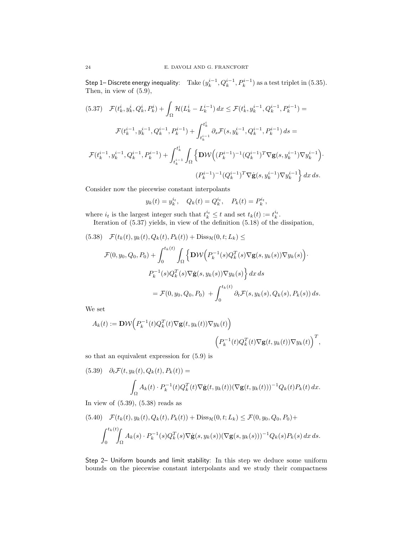Step 1– Discrete energy inequality: Take  $(y_k^{i-1}, Q_k^{i-1}, P_k^{i-1})$  as a test triplet in (5.35). Then, in view of (5.9),

$$
(5.37) \quad \mathcal{F}(t_k^i, y_k^i, Q_k^i, P_k^i) + \int_{\Omega} \mathcal{H}(L_k^i - L_k^{i-1}) \, dx \le \mathcal{F}(t_k^i, y_k^{i-1}, Q_k^{i-1}, P_k^{i-1}) =
$$
\n
$$
\mathcal{F}(t_k^{i-1}, y_k^{i-1}, Q_k^{i-1}, P_k^{i-1}) + \int_{t_k^{i-1}}^{t_k^i} \partial_s \mathcal{F}(s, y_k^{i-1}, Q_k^{i-1}, P_k^{i-1}) \, ds =
$$
\n
$$
\mathcal{F}(t_k^{i-1}, y_k^{i-1}, Q_k^{i-1}, P_k^{i-1}) + \int_{t_k^{i-1}}^{t_k^i} \int_{\Omega} \left\{ \mathbf{D} \mathcal{W} \Big( (P_k^{i-1})^{-1} (Q_k^{i-1})^T \nabla \mathbf{g}(s, y_k^{i-1}) \nabla y_k^{i-1} \Big) \cdot (P_k^{i-1})^{-1} (Q_k^{i-1})^T \nabla \mathbf{g}(s, y_k^{i-1}) \nabla y_k^{i-1} \right\} \, dx \, ds.
$$

Consider now the piecewise constant interpolants

$$
y_k(t) = y_k^{i_t}, \quad Q_k(t) = Q_k^{i_t}, \quad P_k(t) = P_k^{i_t},
$$

where  $i_t$  is the largest integer such that  $t_k^{i_t} \leq t$  and set  $t_k(t) := t_k^{i_t}$ .

Iteration of (5.37) yields, in view of the definition (5.18) of the dissipation,

(5.38) 
$$
\mathcal{F}(t_k(t), y_k(t), Q_k(t), P_k(t)) + \text{Diss}_{\mathcal{H}}(0, t; L_k) \le
$$

$$
\mathcal{F}(0, y_0, Q_0, P_0) + \int_0^{t_k(t)} \int_{\Omega} \left\{ \mathbf{D} \mathcal{W} \Big( P_k^{-1}(s) Q_k^T(s) \nabla \mathbf{g}(s, y_k(s)) \nabla y_k(s) \Big) \cdot P_k^{-1}(s) Q_k^T(s) \nabla \dot{\mathbf{g}}(s, y_k(s)) \nabla y_k(s) \right\} dx ds
$$

$$
= \mathcal{F}(0, y_0, Q_0, P_0) + \int_0^{t_k(t)} \partial_t \mathcal{F}(s, y_k(s), Q_k(s), P_k(s)) ds.
$$

We set

$$
A_k(t) := \mathbf{D}\mathcal{W}\Big(P_k^{-1}(t)Q_k^T(t)\nabla \mathbf{g}(t,y_k(t))\nabla y_k(t)\Big)\\ \qquad \qquad \Big(P_k^{-1}(t)Q_k^T(t)\nabla \mathbf{g}(t,y_k(t))\nabla y_k(t)\Big)^T,
$$

so that an equivalent expression for (5.9) is

(5.39) 
$$
\partial_t \mathcal{F}(t, y_k(t), Q_k(t), P_k(t)) =
$$

$$
\int_{\Omega} A_k(t) \cdot P_k^{-1}(t) Q_k^T(t) \nabla \dot{\mathbf{g}}(t, y_k(t)) (\nabla \mathbf{g}(t, y_k(t)))^{-1} Q_k(t) P_k(t) dx.
$$

In view of (5.39), (5.38) reads as

$$
(5.40) \mathcal{F}(t_k(t), y_k(t), Q_k(t), P_k(t)) + \text{Diss}_{\mathcal{H}}(0, t; L_k) \le \mathcal{F}(0, y_0, Q_0, P_0) +
$$

$$
\int_0^{t_k(t)} \int_{\Omega} A_k(s) \cdot P_k^{-1}(s) Q_k^T(s) \nabla \dot{\mathbf{g}}(s, y_k(s)) (\nabla \mathbf{g}(s, y_k(s)))^{-1} Q_k(s) P_k(s) \, dx \, ds.
$$

Step 2– Uniform bounds and limit stability: In this step we deduce some uniform bounds on the piecewise constant interpolants and we study their compactness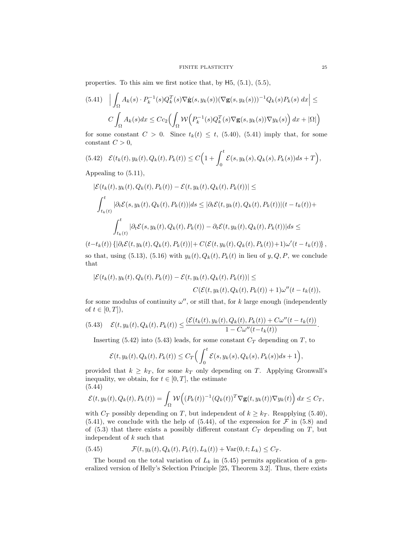properties. To this aim we first notice that, by H5, (5.1), (5.5),

$$
(5.41) \quad \left| \int_{\Omega} A_k(s) \cdot P_k^{-1}(s) Q_k^T(s) \nabla \dot{\mathbf{g}}(s, y_k(s)) (\nabla \mathbf{g}(s, y_k(s)))^{-1} Q_k(s) P_k(s) \, dx \right| \le
$$

$$
C \int_{\Omega} A_k(s) dx \le C c_2 \Big( \int_{\Omega} \mathcal{W} \Big( P_k^{-1}(s) Q_k^T(s) \nabla \mathbf{g}(s, y_k(s)) \nabla y_k(s) \Big) \, dx + |\Omega| \Big)
$$

for some constant  $C > 0$ . Since  $t_k(t) \leq t$ , (5.40), (5.41) imply that, for some constant  $C > 0$ ,

$$
(5.42)\quad \mathcal{E}(t_k(t), y_k(t), Q_k(t), P_k(t)) \le C\Big(1 + \int_0^t \mathcal{E}(s, y_k(s), Q_k(s), P_k(s))ds + T\Big),
$$

Appealing to (5.11),

$$
\begin{aligned} |\mathcal{E}(t_k(t), y_k(t), Q_k(t), P_k(t)) - \mathcal{E}(t, y_k(t), Q_k(t), P_k(t))| &\leq \\ \int_{t_k(t)}^t |\partial_t \mathcal{E}(s, y_k(t), Q_k(t), P_k(t))| ds &\leq |\partial_t \mathcal{E}(t, y_k(t), Q_k(t), P_k(t))|(t - t_k(t)) + \\ \int_{t_k(t)}^t |\partial_t \mathcal{E}(s, y_k(t), Q_k(t), P_k(t)) - \partial_t \mathcal{E}(t, y_k(t), Q_k(t), P_k(t))| ds &\leq \end{aligned}
$$

 $(t-t_k(t))\left\{|\partial_t \mathcal{E}(t, y_k(t), Q_k(t), P_k(t))| + C(\mathcal{E}(t, y_k(t), Q_k(t), P_k(t)) + 1)\omega'(t - t_k(t))\right\},$ so that, using (5.13), (5.16) with  $y_k(t)$ ,  $Q_k(t)$ ,  $P_k(t)$  in lieu of  $y$ ,  $Q$ ,  $P$ , we conclude that

$$
\begin{aligned} |\mathcal{E}(t_k(t),y_k(t),Q_k(t),P_k(t))-\mathcal{E}(t,y_k(t),Q_k(t),P_k(t))| \leq \\ C(\mathcal{E}(t,y_k(t),Q_k(t),P_k(t))+1)\omega''(t-t_k(t)), \end{aligned}
$$

for some modulus of continuity  $\omega''$ , or still that, for k large enough (independently of  $t \in [0, T]$ ,

$$
(5.43) \quad \mathcal{E}(t, y_k(t), Q_k(t), P_k(t)) \leq \frac{(\mathcal{E}(t_k(t), y_k(t), Q_k(t), P_k(t)) + C\omega''(t - t_k(t))}{1 - C\omega''(t - t_k(t))}.
$$

Inserting (5.42) into (5.43) leads, for some constant  $C_T$  depending on T, to

$$
\mathcal{E}(t, y_k(t), Q_k(t), P_k(t)) \leq C_T \Big( \int_0^t \mathcal{E}(s, y_k(s), Q_k(s), P_k(s)) ds + 1 \Big),
$$

provided that  $k \geq k_T$ , for some  $k_T$  only depending on T. Applying Gronwall's inequality, we obtain, for  $t \in [0, T]$ , the estimate (5.44)

$$
\mathcal{E}(t, y_k(t), Q_k(t), P_k(t)) = \int_{\Omega} \mathcal{W}\Big( (P_k(t))^{-1} (Q_k(t))^T \nabla \mathbf{g}(t, y_k(t)) \nabla y_k(t) \Big) dx \leq C_T,
$$

with  $C_T$  possibly depending on T, but independent of  $k \geq k_T$ . Reapplying (5.40),  $(5.41)$ , we conclude with the help of  $(5.44)$ , of the expression for  $\mathcal F$  in  $(5.8)$  and of  $(5.3)$  that there exists a possibly different constant  $C_T$  depending on T, but independent of k such that

(5.45) 
$$
\mathcal{F}(t, y_k(t), Q_k(t), P_k(t), L_k(t)) + \text{Var}(0, t; L_k) \leq C_T.
$$

The bound on the total variation of  $L_k$  in (5.45) permits application of a generalized version of Helly's Selection Principle [25, Theorem 3.2]. Thus, there exists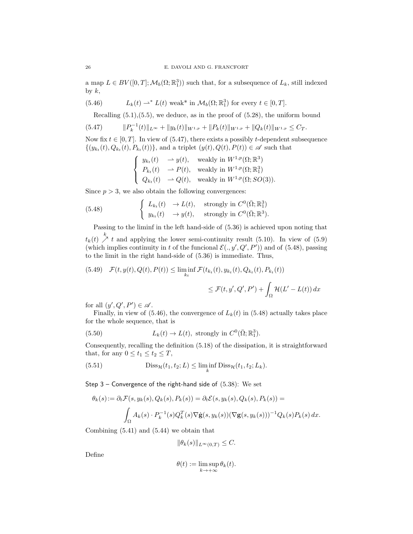a map  $L \in BV([0,T]; \mathcal{M}_b(\Omega;\mathbb{R}^3_1))$  such that, for a subsequence of  $L_k$ , still indexed by  $k$ ,

(5.46) 
$$
L_k(t) \rightharpoonup^* L(t) \text{ weak* in } \mathcal{M}_b(\Omega; \mathbb{R}^3_1) \text{ for every } t \in [0, T].
$$

Recalling  $(5.1),(5.5)$ , we deduce, as in the proof of  $(5.28)$ , the uniform bound

$$
(5.47) \t\t\t ||P_k^{-1}(t)||_{L^{\infty}} + ||y_k(t)||_{W^{1,p}} + ||P_k(t)||_{W^{1,p}} + ||Q_k(t)||_{W^{1,p}} \leq C_T.
$$

Now fix  $t \in [0, T]$ . In view of (5.47), there exists a possibly t-dependent subsequence  $\{(y_{k_t}(t), Q_{k_t}(t), P_{k_t}(t))\},$  and a triplet  $(y(t), Q(t), P(t)) \in \mathscr{A}$  such that

$$
\begin{cases}\ny_{k_t}(t) & \to y(t), \quad \text{weakly in } W^{1,p}(\Omega; \mathbb{R}^3) \\
P_{k_t}(t) & \to P(t), \quad \text{weakly in } W^{1,p}(\Omega; \mathbb{R}^3_1) \\
Q_{k_t}(t) & \to Q(t), \quad \text{weakly in } W^{1,p}(\Omega; SO(3)).\n\end{cases}
$$

Since  $p > 3$ , we also obtain the following convergences:

(5.48) 
$$
\begin{cases} L_{k_t}(t) \rightarrow L(t), & \text{strongly in } C^0(\bar{\Omega}; \mathbb{R}^3_1) \\ y_{k_t}(t) \rightarrow y(t), & \text{strongly in } C^0(\bar{\Omega}; \mathbb{R}^3). \end{cases}
$$

Passing to the liminf in the left hand-side of (5.36) is achieved upon noting that  $t_k(t) \nearrow t$  and applying the lower semi-continuity result (5.10). In view of (5.9) (which implies continuity in t of the funcional  $\mathcal{E}(\cdot, y', Q', P')$ ) and of (5.48), passing to the limit in the right hand-side of (5.36) is immediate. Thus,

(5.49) 
$$
\mathcal{F}(t, y(t), Q(t), P(t)) \leq \liminf_{k_t} \mathcal{F}(t_{k_t}(t), y_{k_t}(t), Q_{k_t}(t), P_{k_t}(t))
$$

$$
\leq \mathcal{F}(t, y', Q', P') + \int_{\Omega} \mathcal{H}(L' - L(t)) dx
$$

for all  $(y', Q', P') \in \mathscr{A}$ .

Finally, in view of (5.46), the convergence of  $L_k(t)$  in (5.48) actually takes place for the whole sequence, that is

(5.50) 
$$
L_k(t) \to L(t), \text{ strongly in } C^0(\bar{\Omega}; \mathbb{R}^3_1).
$$

Consequently, recalling the definition (5.18) of the dissipation, it is straightforward that, for any  $0 \le t_1 \le t_2 \le T$ ,

(5.51) 
$$
\text{Diss}_{\mathcal{H}}(t_1, t_2; L) \leq \liminf_{k} \text{Diss}_{\mathcal{H}}(t_1, t_2; L_k).
$$

Step  $3$  – Convergence of the right-hand side of  $(5.38)$ : We set

$$
\theta_k(s) := \partial_t \mathcal{F}(s, y_k(s), Q_k(s), P_k(s)) = \partial_t \mathcal{E}(s, y_k(s), Q_k(s), P_k(s)) =
$$
  

$$
\int_{\Omega} A_k(s) \cdot P_k^{-1}(s) Q_k^T(s) \nabla \dot{\mathbf{g}}(s, y_k(s)) (\nabla \mathbf{g}(s, y_k(s)))^{-1} Q_k(s) P_k(s) dx.
$$

Combining (5.41) and (5.44) we obtain that

$$
\|\theta_k(s)\|_{L^\infty(0,T)} \leq C.
$$

Define

$$
\theta(t) := \limsup_{k \to +\infty} \theta_k(t).
$$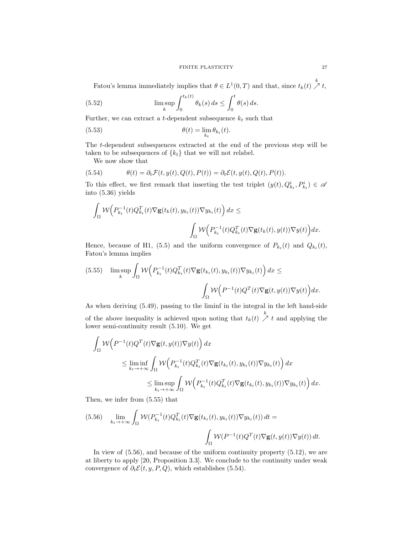Fatou's lemma immediately implies that  $\theta \in L^1(0,T)$  and that, since  $t_k(t) \nearrow t$ ,

(5.52) 
$$
\limsup_{k} \int_0^{t_k(t)} \theta_k(s) ds \leq \int_0^t \theta(s) ds.
$$

Further, we can extract a *t*-dependent subsequence  $k_t$  such that

(5.53) 
$$
\theta(t) = \lim_{k_t} \theta_{k_t}(t).
$$

The t-dependent subsequences extracted at the end of the previous step will be taken to be subsequences of  $\{k_t\}$  that we will not relabel.

We now show that

(5.54) 
$$
\theta(t) = \partial_t \mathcal{F}(t, y(t), Q(t), P(t)) = \partial_t \mathcal{E}(t, y(t), Q(t), P(t)).
$$

To this effect, we first remark that inserting the test triplet  $(y(t), Q^i_{k_t}, P^i_{k_t}) \in \mathscr{A}$ into (5.36) yields

$$
\begin{aligned}\int_{\Omega}\mathcal{W}\Big(P_{k_t}^{-1}(t)Q_{k_t}^T(t)\nabla\mathbf{g}(t_k(t),y_{k_t}(t))\nabla y_{k_t}(t)\Big)\,dx\leq\\ \int_{\Omega}\mathcal{W}\Big(P_{k_t}^{-1}(t)Q_{k_t}^T(t)\nabla\mathbf{g}(t_k(t),y(t))\nabla y(t)\Big)dx.\end{aligned}
$$

Hence, because of H1, (5.5) and the uniform convergence of  $P_{k_t}(t)$  and  $Q_{k_t}(t)$ , Fatou's lemma implies

(5.55) 
$$
\limsup_{k} \int_{\Omega} \mathcal{W}\Big(P_{k_t}^{-1}(t)Q_{k_t}^T(t)\nabla \mathbf{g}(t_{k_t}(t), y_{k_t}(t))\nabla y_{k_t}(t)\Big) dx \leq
$$

$$
\int_{\Omega} \mathcal{W}\Big(P^{-1}(t)Q^T(t)\nabla \mathbf{g}(t, y(t))\nabla y(t)\Big) dx.
$$

As when deriving (5.49), passing to the liminf in the integral in the left hand-side of the above inequality is achieved upon noting that  $t_k(t) \overset{k}{\nearrow} t$  and applying the lower semi-continuity result (5.10). We get

$$
\int_{\Omega} \mathcal{W}\Big(P^{-1}(t)Q^T(t)\nabla \mathbf{g}(t,y(t))\nabla y(t)\Big) dx
$$
\n
$$
\leq \liminf_{k_t \to +\infty} \int_{\Omega} \mathcal{W}\Big(P_{k_t}^{-1}(t)Q_{k_t}^T(t)\nabla \mathbf{g}(t_{k_t}(t), y_{k_t}(t))\nabla y_{k_t}(t)\Big) dx
$$
\n
$$
\leq \limsup_{k_t \to +\infty} \int_{\Omega} \mathcal{W}\Big(P_{k_t}^{-1}(t)Q_{k_t}^T(t)\nabla \mathbf{g}(t_{k_t}(t), y_{k_t}(t))\nabla y_{k_t}(t)\Big) dx.
$$

Then, we infer from (5.55) that

(5.56) 
$$
\lim_{k_t \to +\infty} \int_{\Omega} \mathcal{W}(P_{k_t}^{-1}(t)Q_{k_t}^T(t)\nabla \mathbf{g}(t_{k_t}(t), y_{k_t}(t))\nabla y_{k_t}(t)) dt =
$$

$$
\int_{\Omega} \mathcal{W}(P^{-1}(t)Q^T(t)\nabla \mathbf{g}(t, y(t))\nabla y(t)) dt.
$$

In view of (5.56), and because of the uniform continuity property (5.12), we are at liberty to apply [20, Proposition 3.3]. We conclude to the continuity under weak convergence of  $\partial_t \mathcal{E}(t, y, P, Q)$ , which establishes (5.54).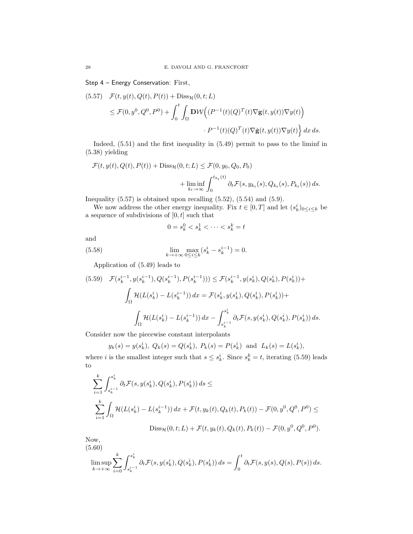Step 4 – Energy Conservation: First,

(5.57) 
$$
\mathcal{F}(t, y(t), Q(t), P(t)) + \text{Diss}_{\mathcal{H}}(0, t; L)
$$

$$
\leq \mathcal{F}(0, y^0, Q^0, P^0) + \int_0^t \int_{\Omega} \mathbf{D}\mathcal{W}\Big((P^{-1}(t)(Q)^T(t)\nabla \mathbf{g}(t, y(t))\nabla y(t)\Big) \Big)
$$

$$
\cdot P^{-1}(t)(Q)^T(t)\nabla \dot{\mathbf{g}}(t, y(t))\nabla y(t)\Big\} dx ds.
$$

Indeed, (5.51) and the first inequality in (5.49) permit to pass to the liminf in (5.38) yielding

$$
\mathcal{F}(t, y(t), Q(t), P(t)) + \text{Diss}_{\mathcal{H}}(0, t; L) \leq \mathcal{F}(0, y_0, Q_0, P_0)
$$

$$
+ \liminf_{k_t \to \infty} \int_0^{t_{k_t}(t)} \partial_t \mathcal{F}(s, y_{k_t}(s), Q_{k_t}(s), P_{k_t}(s)) ds.
$$

Inequality  $(5.57)$  is obtained upon recalling  $(5.52)$ ,  $(5.54)$  and  $(5.9)$ .

We now address the other energy inequality. Fix  $t \in [0, T]$  and let  $(s_k^i)_{0 \le i \le k}$  be a sequence of subdivisions of  $[0, t]$  such that

$$
0=s^0_k
$$

and

(5.58) 
$$
\lim_{k \to +\infty} \max_{0 \le i \le k} (s_k^i - s_k^{i-1}) = 0.
$$

Application of (5.49) leads to

$$
(5.59) \quad \mathcal{F}(s_k^{i-1}, y(s_k^{i-1}), Q(s_k^{i-1}), P(s_k^{i-1}))) \le \mathcal{F}(s_k^{i-1}, y(s_k^i), Q(s_k^i), P(s_k^i)) +
$$
\n
$$
\int_{\Omega} \mathcal{H}(L(s_k^i) - L(s_k^{i-1})) dx = \mathcal{F}(s_k^i, y(s_k^i), Q(s_k^i), P(s_k^i)) +
$$
\n
$$
\int_{\Omega} \mathcal{H}(L(s_k^i) - L(s_k^{i-1})) dx - \int_{s_k^{i-1}}^{s_k^i} \partial_t \mathcal{F}(s, y(s_k^i), Q(s_k^i), P(s_k^i)) ds.
$$

Consider now the piecewise constant interpolants

$$
y_k(s) = y(s_k^i), Q_k(s) = Q(s_k^i), P_k(s) = P(s_k^i)
$$
 and  $L_k(s) = L(s_k^i),$ 

where *i* is the smallest integer such that  $s \leq s_k^i$ . Since  $s_k^k = t$ , iterating (5.59) leads to

$$
\sum_{i=1}^{k} \int_{s_k^{i-1}}^{s_k^{i}} \partial_t \mathcal{F}(s, y(s_k^i), Q(s_k^i), P(s_k^i)) ds \le
$$
\n
$$
\sum_{i=1}^{k} \int_{\Omega} \mathcal{H}(L(s_k^i) - L(s_k^{i-1})) dx + \mathcal{F}(t, y_k(t), Q_k(t), P_k(t)) - \mathcal{F}(0, y^0, Q^0, P^0) \le
$$
\n
$$
\text{Diss}_{\mathcal{H}}(0, t; L) + \mathcal{F}(t, y_k(t), Q_k(t), P_k(t)) - \mathcal{F}(0, y^0, Q^0, P^0).
$$

Now, (5.60)

$$
\limsup_{k \to +\infty} \sum_{i=0}^k \int_{s_k^{i-1}}^{s_k^i} \partial_t \mathcal{F}(s, y(s_k^i), Q(s_k^i), P(s_k^i)) ds = \int_0^t \partial_t \mathcal{F}(s, y(s), Q(s), P(s)) ds.
$$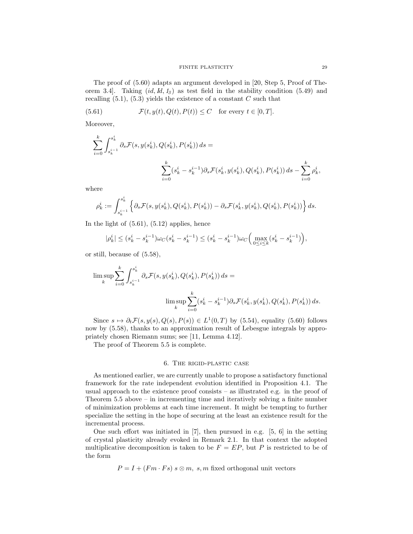The proof of (5.60) adapts an argument developed in [20, Step 5, Proof of Theorem 3.4. Taking  $(id, Id, I_3)$  as test field in the stability condition (5.49) and recalling  $(5.1)$ ,  $(5.3)$  yields the existence of a constant C such that

(5.61) 
$$
\mathcal{F}(t, y(t), Q(t), P(t)) \leq C \quad \text{for every } t \in [0, T].
$$

Moreover,

$$
\begin{split} \sum_{i=0}^{k}\int_{s_{k}^{i-1}}^{s_{k}^{i}}\partial_{s}\mathcal{F}(s,y(s_{k}^{i}),Q(s_{k}^{i}),P(s_{k}^{i}))\,ds =\\ \sum_{i=0}^{k}(s_{k}^{i}-s_{k}^{i-1})\partial_{s}\mathcal{F}(s_{k}^{i},y(s_{k}^{i}),Q(s_{k}^{i}),P(s_{k}^{i}))\,ds-\sum_{i=0}^{k}\rho_{k}^{i}, \end{split}
$$

where

$$
\rho^i_k:=\int_{s^{i-1}_k}^{s^i_k}\left\{\partial_s\mathcal{F}(s,y(s^i_k),Q(s^i_k),P(s^i_k))-\partial_s\mathcal{F}(s^i_k,y(s^i_k),Q(s^i_k),P(s^i_k))\right\}ds.
$$

In the light of  $(5.61)$ ,  $(5.12)$  applies, hence

$$
|\rho^i_k| \leq (s^i_k - s^{i-1}_k) \omega_C(s^i_k - s^{i-1}_k) \leq (s^i_k - s^{i-1}_k) \omega_C \Big(\max_{0 \leq i \leq k} (s^i_k - s^{i-1}_k)\Big),
$$

or still, because of (5.58),

$$
\begin{aligned} \limsup_k \sum_{i=0}^k \int_{s_k^{i-1}}^{s_k^i} \partial_s \mathcal{F}(s,y(s_k^i),Q(s_k^i),P(s_k^i))\,ds = \\ \limsup_k \sum_{i=0}^k (s_k^i-s_k^{i-1})\partial_s \mathcal{F}(s_k^i,y(s_k^i),Q(s_k^i),P(s_k^i))\,ds. \end{aligned}
$$

Since  $s \mapsto \partial_t \mathcal{F}(s, y(s), Q(s), P(s)) \in L^1(0,T)$  by (5.54), equality (5.60) follows now by (5.58), thanks to an approximation result of Lebesgue integrals by appropriately chosen Riemann sums; see [11, Lemma 4.12].

The proof of Theorem 5.5 is complete.

### 6. The rigid-plastic case

As mentioned earlier, we are currently unable to propose a satisfactory functional framework for the rate independent evolution identified in Proposition 4.1. The usual approach to the existence proof consists – as illustrated e.g. in the proof of Theorem 5.5 above – in incrementing time and iteratively solving a finite number of minimization problems at each time increment. It might be tempting to further specialize the setting in the hope of securing at the least an existence result for the incremental process.

One such effort was initiated in [7], then pursued in e.g. [5, 6] in the setting of crystal plasticity already evoked in Remark 2.1. In that context the adopted multiplicative decomposition is taken to be  $F = EP$ , but P is restricted to be of the form

 $P = I + (Fm \cdot Fs) s \otimes m$ , s, m fixed orthogonal unit vectors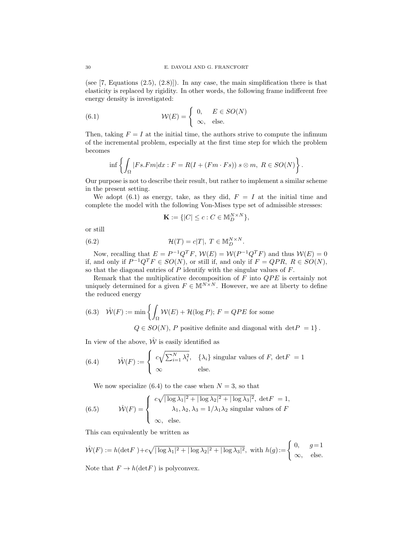(see  $[7, Equations (2.5), (2.8)]$ ). In any case, the main simplification there is that elasticity is replaced by rigidity. In other words, the following frame indifferent free energy density is investigated:

(6.1) 
$$
\mathcal{W}(E) = \begin{cases} 0, & E \in SO(N) \\ \infty, & \text{else.} \end{cases}
$$

Then, taking  $F = I$  at the initial time, the authors strive to compute the infimum of the incremental problem, especially at the first time step for which the problem becomes

$$
\inf \left\{ \int_{\Omega} |Fs.Fm|dx : F = R(I + (Fm \cdot Fs)) \ s \otimes m, \ R \in SO(N) \right\}.
$$

Our purpose is not to describe their result, but rather to implement a similar scheme in the present setting.

We adopt (6.1) as energy, take, as they did,  $F = I$  at the initial time and complete the model with the following Von-Mises type set of admissible stresses:

$$
\mathbf{K} := \{ |C| \le c : C \in \mathbb{M}_D^{N \times N} \},
$$

or still

(6.2) 
$$
\mathcal{H}(T) = c|T|, T \in \mathbb{M}_{D}^{N \times N}.
$$

Now, recalling that  $E = P^{-1}Q^T F$ ,  $W(E) = W(P^{-1}Q^T F)$  and thus  $W(E) = 0$ if, and only if  $P^{-1}Q^T F \in SO(N)$ , or still if, and only if  $F = QPR$ ,  $R \in SO(N)$ , so that the diagonal entries of  $P$  identify with the singular values of  $F$ .

Remark that the multiplicative decomposition of  $F$  into  $QPE$  is certainly not uniquely determined for a given  $F \in M^{N \times N}$ . However, we are at liberty to define the reduced energy

(6.3) 
$$
\hat{\mathcal{W}}(F) := \min \left\{ \int_{\Omega} \mathcal{W}(E) + \mathcal{H}(\log P); F = QPE \text{ for some } 0 \le S O(N), P \text{ positive definite and diagonal with } \det P = 1 \right\}.
$$

In view of the above,  $\hat{W}$  is easily identified as

(6.4) 
$$
\hat{\mathcal{W}}(F) := \begin{cases} c \sqrt{\sum_{i=1}^{N} \lambda_i^2}, & \{\lambda_i\} \text{ singular values of } F, \text{ det } F = 1 \\ \infty & \text{ else.} \end{cases}
$$

We now specialize (6.4) to the case when  $N = 3$ , so that

(6.5) 
$$
\hat{W}(F) = \begin{cases} c\sqrt{|\log \lambda_1|^2 + |\log \lambda_2|^2 + |\log \lambda_3|^2}, \ \det F = 1, \\ \lambda_1, \lambda_2, \lambda_3 = 1/\lambda_1 \lambda_2 \text{ singular values of } F \\ \infty, \text{ else.} \end{cases}
$$

This can equivalently be written as

$$
\hat{\mathcal{W}}(F) := h(\det F) + c\sqrt{|\log \lambda_1|^2 + |\log \lambda_2|^2 + |\log \lambda_3|^2}, \text{ with } h(g) := \begin{cases} 0, & g = 1 \\ \infty, & \text{else.} \end{cases}
$$

Note that  $F \to h(\text{det} F)$  is polyconvex.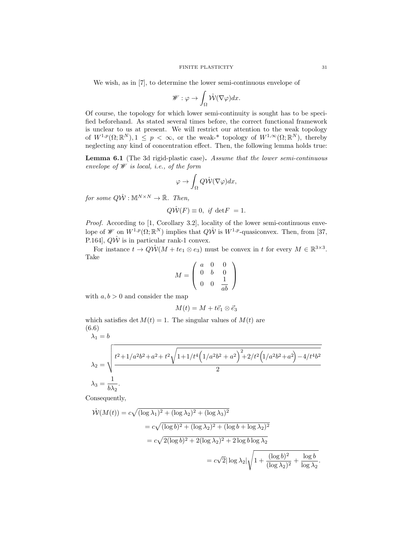We wish, as in [7], to determine the lower semi-continuous envelope of

$$
\mathscr{W}: \varphi \to \int_{\Omega} \hat{\mathcal{W}}(\nabla \varphi) dx.
$$

Of course, the topology for which lower semi-continuity is sought has to be specified beforehand. As stated several times before, the correct functional framework is unclear to us at present. We will restrict our attention to the weak topology of  $W^{1,p}(\Omega;\mathbb{R}^N), 1 \leq p < \infty$ , or the weak-\* topology of  $W^{1,\infty}(\Omega;\mathbb{R}^N)$ , thereby neglecting any kind of concentration effect. Then, the following lemma holds true:

Lemma 6.1 (The 3d rigid-plastic case). Assume that the lower semi-continuous envelope of  $W$  is local, i.e., of the form

$$
\varphi \to \int_{\Omega} Q \hat{\mathcal{W}}(\nabla \varphi) dx,
$$

for some  $Q\hat{W}$ :  $\mathbb{M}^{N\times N} \to \mathbb{R}$ . Then,

$$
Q\hat{W}(F) \equiv 0, \text{ if } \det F = 1.
$$

Proof. According to [1, Corollary 3.2], locality of the lower semi-continuous envelope of  $\mathscr W$  on  $W^{1,p}(\Omega;\mathbb R^N)$  implies that  $Q\hat{\mathcal W}$  is  $W^{1,p}$ -quasiconvex. Then, from [37, P.164],  $Q\hat{W}$  is in particular rank-1 convex.

For instance  $t \to Q\hat{W}(M + te_1 \otimes e_3)$  must be convex in t for every  $M \in \mathbb{R}^{3 \times 3}$ . Take

$$
M = \left(\begin{array}{ccc} a & 0 & 0 \\ 0 & b & 0 \\ 0 & 0 & \frac{1}{ab} \end{array}\right)
$$

with  $a, b > 0$  and consider the map

$$
M(t) = M + t\vec{e}_1 \otimes \vec{e}_3
$$

which satisfies det  $M(t) = 1$ . The singular values of  $M(t)$  are (6.6)  $\lambda_1 = b$ 

$$
\lambda_2 = \sqrt{\frac{t^2 + 1/a^2b^2 + a^2 + t^2\sqrt{1 + 1/t^4\left(1/a^2b^2 + a^2\right)^2 + 2/t^2\left(1/a^2b^2 + a^2\right) - 4/t^4b^2}}{2}}
$$

$$
\lambda_3 = \frac{1}{b\lambda_2}.
$$

Consequently,

$$
\hat{W}(M(t)) = c\sqrt{(\log \lambda_1)^2 + (\log \lambda_2)^2 + (\log \lambda_3)^2}
$$
  
=  $c\sqrt{(\log b)^2 + (\log \lambda_2)^2 + (\log b + \log \lambda_2)^2}$   
=  $c\sqrt{2(\log b)^2 + 2(\log \lambda_2)^2 + 2 \log b \log \lambda_2}$   
=  $c\sqrt{2}|\log \lambda_2|\sqrt{1 + \frac{(\log b)^2}{(\log \lambda_2)^2} + \frac{\log b}{\log \lambda_2}}$ 

.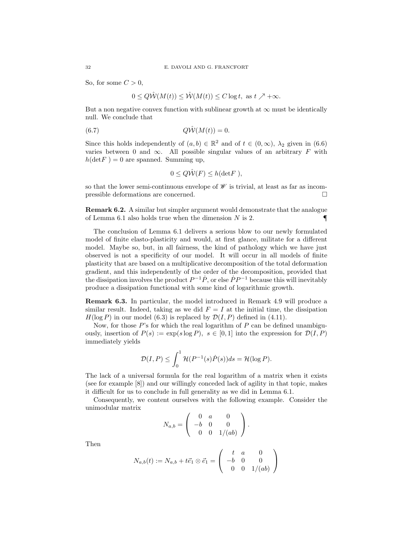So, for some  $C > 0$ ,

$$
0 \le Q\hat{W}(M(t)) \le \hat{W}(M(t)) \le C \log t, \text{ as } t \nearrow +\infty.
$$

But a non negative convex function with sublinear growth at  $\infty$  must be identically null. We conclude that

$$
(6.7) \tQ\hat{\mathcal{W}}(M(t)) = 0.
$$

Since this holds independently of  $(a, b) \in \mathbb{R}^2$  and of  $t \in (0, \infty)$ ,  $\lambda_2$  given in  $(6.6)$ varies between 0 and  $\infty$ . All possible singular values of an arbitrary F with  $h(\text{det}F) = 0$  are spanned. Summing up,

$$
0 \le Q\hat{W}(F) \le h(\text{det}F),
$$

so that the lower semi-continuous envelope of  $\mathscr W$  is trivial, at least as far as incompressible deformations are concerned.

Remark 6.2. A similar but simpler argument would demonstrate that the analogue of Lemma 6.1 also holds true when the dimension  $N$  is 2.

The conclusion of Lemma 6.1 delivers a serious blow to our newly formulated model of finite elasto-plasticity and would, at first glance, militate for a different model. Maybe so, but, in all fairness, the kind of pathology which we have just observed is not a specificity of our model. It will occur in all models of finite plasticity that are based on a multiplicative decomposition of the total deformation gradient, and this independently of the order of the decomposition, provided that the dissipation involves the product  $P^{-1}\dot{P}$ , or else  $\dot{P}P^{-1}$  because this will inevitably produce a dissipation functional with some kind of logarithmic growth.

Remark 6.3. In particular, the model introduced in Remark 4.9 will produce a similar result. Indeed, taking as we did  $F = I$  at the initial time, the dissipation  $H(\log P)$  in our model (6.3) is replaced by  $\mathcal{D}(I, P)$  defined in (4.11).

Now, for those  $P$ 's for which the real logarithm of  $P$  can be defined unambiguously, insertion of  $P(s) := \exp(s \log P)$ ,  $s \in [0, 1]$  into the expression for  $\mathcal{D}(I, P)$ immediately yields

$$
\mathcal{D}(I, P) \le \int_0^1 \mathcal{H}(P^{-1}(s)\dot{P}(s))ds = \mathcal{H}(\log P).
$$

The lack of a universal formula for the real logarithm of a matrix when it exists (see for example [8]) and our willingly conceded lack of agility in that topic, makes it difficult for us to conclude in full generality as we did in Lemma 6.1.

Consequently, we content ourselves with the following example. Consider the unimodular matrix

$$
N_{a,b} = \left(\begin{array}{ccc} 0 & a & 0 \\ -b & 0 & 0 \\ 0 & 0 & 1/(ab) \end{array}\right).
$$

Then

$$
N_{a,b}(t) := N_{a,b} + t\vec{e}_1 \otimes \vec{e}_1 = \begin{pmatrix} t & a & 0 \\ -b & 0 & 0 \\ 0 & 0 & 1/(ab) \end{pmatrix}
$$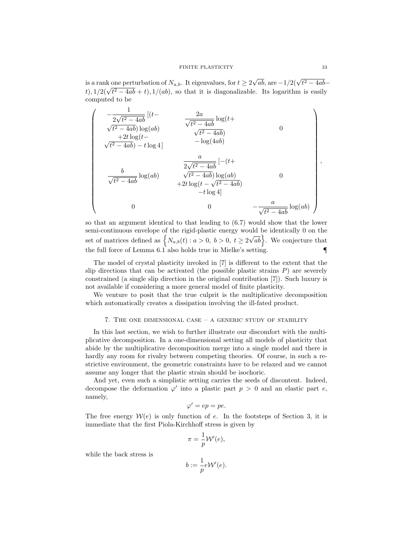is a rank one perturbation of  $N_{a,b}$ . It eigenvalues, for  $t \geq 2$  $\sqrt{ab}$ , are  $-1/2(\sqrt{t^2-4ab})$ to a rank one perturbation of  $N_{a,b}$ . It eigenvalues, for  $t \geq 2 \sqrt{a}a$ , are  $-1/2(\sqrt{t^2-4ab}+t)$ ,  $1/(ab)$ , so that it is diagonalizable. Its logarithm is easily computed to be

 − 1 2 √ t <sup>2</sup> − 4ab [(t− √ t <sup>2</sup> − 4ab) log(ab) +2tlog(t<sup>−</sup> <sup>√</sup> t <sup>2</sup> − 4ab) − tlog 4] 2a √ t <sup>2</sup> − 4ab log(t+ √ t <sup>2</sup> − 4ab) − log(4ab) 0 b √ t <sup>2</sup> − 4ab log(ab) a 2 √ t <sup>2</sup> − 4ab [−(t+ √ t <sup>2</sup> − 4ab) log(ab) +2tlog(t − √ t <sup>2</sup> − 4ab) −tlog 4] 0 0 0 − a √ t <sup>2</sup> − 4ab log(ab) ,

so that an argument identical to that leading to (6.7) would show that the lower semi-continuous envelope of the rigid-plastic energy would be identically 0 on the set of matrices defined as  $\{N_{a,b}(t) : a > 0, b > 0, t \ge 2\}$  $\left\langle \sqrt{ab} \right\rangle$ . We conjecture that the full force of Lemma 6.1 also holds true in Mielke's setting.

The model of crystal plasticity invoked in [7] is different to the extent that the slip directions that can be activated (the possible plastic strains  $P$ ) are severely constrained (a single slip direction in the original contribution [7]). Such luxury is not available if considering a more general model of finite plasticity.

We venture to posit that the true culprit is the multiplicative decomposition which automatically creates a dissipation involving the ill-fated product.

### 7. The one dimensional case – a generic study of stability

In this last section, we wish to further illustrate our discomfort with the multiplicative decomposition. In a one-dimensional setting all models of plasticity that abide by the multiplicative decomposition merge into a single model and there is hardly any room for rivalry between competing theories. Of course, in such a restrictive environment, the geometric constraints have to be relaxed and we cannot assume any longer that the plastic strain should be isochoric.

And yet, even such a simplistic setting carries the seeds of discontent. Indeed, decompose the deformation  $\varphi'$  into a plastic part p > 0 and an elastic part e, namely,

$$
\varphi' = ep = pe.
$$

The free energy  $W(e)$  is only function of e. In the footsteps of Section 3, it is immediate that the first Piola-Kirchhoff stress is given by

$$
\pi = \frac{1}{p} \mathcal{W}'(e),
$$
  

$$
b := \frac{1}{p} e \mathcal{W}'(e).
$$

while the back stress is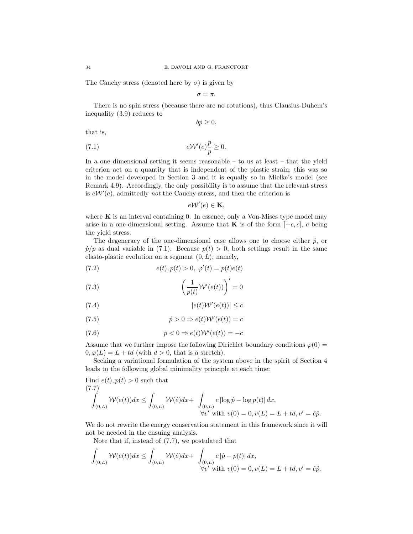The Cauchy stress (denoted here by  $\sigma$ ) is given by

$$
\sigma=\pi.
$$

There is no spin stress (because there are no rotations), thus Clausius-Duhem's inequality (3.9) reduces to

$$
b\dot{p}\geq 0,
$$

that is,

(7.1) 
$$
e\mathcal{W}'(e)\frac{\dot{p}}{p} \ge 0.
$$

In a one dimensional setting it seems reasonable  $-$  to us at least  $-$  that the yield criterion act on a quantity that is independent of the plastic strain; this was so in the model developed in Section 3 and it is equally so in Mielke's model (see Remark 4.9). Accordingly, the only possibility is to assume that the relevant stress is  $e\mathcal{W}'(e)$ , admittedly not the Cauchy stress, and then the criterion is

$$
e\mathcal{W}'(e) \in \mathbf{K},
$$

where  $\bf{K}$  is an interval containing 0. In essence, only a Von-Mises type model may arise in a one-dimensional setting. Assume that K is of the form  $[-c, c]$ , c being the yield stress.

The degeneracy of the one-dimensional case allows one to choose either  $\dot{p}$ , or  $\dot{p}/p$  as dual variable in (7.1). Because  $p(t) > 0$ , both settings result in the same elasto-plastic evolution on a segment  $(0, L)$ , namely,

(7.2) 
$$
e(t), p(t) > 0, \ \varphi'(t) = p(t)e(t)
$$

(7.3) 
$$
\left(\frac{1}{p(t)}\mathcal{W}'(e(t))\right)' = 0
$$

$$
(7.4) \t\t\t |e(t)\mathcal{W}'(e(t))| \leq c
$$

(7.5) 
$$
\dot{p} > 0 \Rightarrow e(t) \mathcal{W}'(e(t)) = c
$$

(7.6) 
$$
\dot{p} < 0 \Rightarrow e(t)\mathcal{W}'(e(t)) = -c
$$

Assume that we further impose the following Dirichlet boundary conditions  $\varphi(0)$  =  $0, \varphi(L) = L + td$  (with  $d > 0$ , that is a stretch).

Seeking a variational formulation of the system above in the spirit of Section 4 leads to the following global minimality principle at each time:

Find  $e(t)$ ,  $p(t) > 0$  such that

(7.7)  
\n
$$
\int_{(0,L)} \mathcal{W}(e(t)) dx \le \int_{(0,L)} \mathcal{W}(\hat{e}) dx + \int_{(0,L)} c |\log \hat{p} - \log p(t)| dx,
$$
\n
$$
\forall v' \text{ with } v(0) = 0, v(L) = L + td, v' = \hat{e}\hat{p}.
$$

We do not rewrite the energy conservation statement in this framework since it will not be needed in the ensuing analysis.

Note that if, instead of (7.7), we postulated that

$$
\int_{(0,L)} \mathcal{W}(e(t))dx \le \int_{(0,L)} \mathcal{W}(\hat{e})dx + \int_{\substack{(0,L) \\ \forall v' \text{ with } v(0) = 0, v(L) = L + td, v' = \hat{e}\hat{p}.}
$$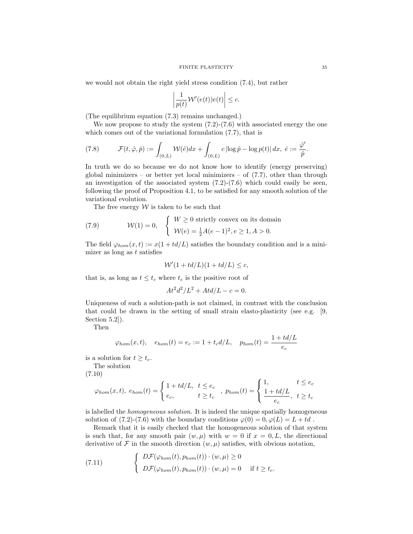we would not obtain the right yield stress condition (7.4), but rather

$$
\left|\frac{1}{p(t)}\mathcal{W}'(e(t))e(t)\right| \leq c.
$$

(The equilibrium equation (7.3) remains unchanged.)

We now propose to study the system  $(7.2)-(7.6)$  with associated energy the one which comes out of the variational formulation  $(7.7)$ , that is

(7.8) 
$$
\mathcal{F}(t,\hat{\varphi},\hat{p}) := \int_{(0,L)} \mathcal{W}(\hat{e}) dx + \int_{(0,L)} c \left| \log \hat{p} - \log p(t) \right| dx, \ \hat{e} := \frac{\hat{\varphi}'}{\hat{p}}.
$$

In truth we do so because we do not know how to identify (energy preserving) global minimizers – or better yet local minimizers – of  $(7.7)$ , other than through an investigation of the associated system  $(7.2)-(7.6)$  which could easily be seen, following the proof of Proposition 4.1, to be satisfied for any smooth solution of the variational evolution.

The free energy  $W$  is taken to be such that

(7.9) 
$$
\mathcal{W}(1) = 0, \quad \begin{cases} W \ge 0 \text{ strictly convex on its domain} \\ \mathcal{W}(e) = \frac{1}{2}A(e-1)^2, e \ge 1, A > 0. \end{cases}
$$

The field  $\varphi_{hom}(x,t) := x(1 + td/L)$  satisfies the boundary condition and is a minimizer as long as  $t$  satisfies

$$
W'(1 + td/L)(1 + td/L) \le c,
$$

that is, as long as  $t \leq t_c$  where  $t_c$  is the positive root of

$$
At^2d^2/L^2 + Atd/L - c = 0.
$$

Uniqueness of such a solution-path is not claimed, in contrast with the conclusion that could be drawn in the setting of small strain elasto-plasticity (see e.g. [9, Section 5.2]).

Then

$$
\varphi_{hom}(x,t), \quad e_{hom}(t) = e_c := 1 + t_c d/L, \quad p_{hom}(t) = \frac{1 + td/L}{e_c}
$$

is a solution for  $t \geq t_c$ .

The solution

(7.10)

$$
\varphi_{hom}(x,t), e_{hom}(t) = \begin{cases} 1 + td/L, & t \le e_c \\ e_c, & t \ge t_c \end{cases}, p_{hom}(t) = \begin{cases} 1, & t \le e_c \\ \frac{1 + td/L}{e_c}, & t \ge t_c \end{cases}
$$

is labelled the homogeneous solution. It is indeed the unique spatially homogeneous solution of (7.2)-(7.6) with the boundary conditions  $\varphi(0) = 0, \varphi(L) = L + td$ .

Remark that it is easily checked that the homogeneous solution of that system is such that, for any smooth pair  $(w, \mu)$  with  $w = 0$  if  $x = 0, L$ , the directional derivative of  $\mathcal F$  in the smooth direction  $(w, \mu)$  satisfies, with obvious notation,

(7.11) 
$$
\begin{cases} D\mathcal{F}(\varphi_{hom}(t), p_{hom}(t)) \cdot (w, \mu) \ge 0 \\ D\mathcal{F}(\varphi_{hom}(t), p_{hom}(t)) \cdot (w, \mu) = 0 \quad \text{if } t \ge t_c. \end{cases}
$$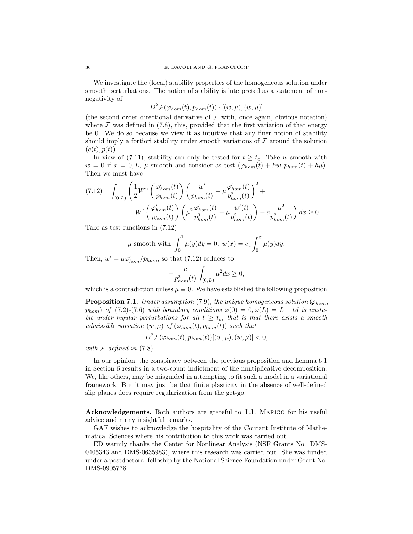We investigate the (local) stability properties of the homogeneous solution under smooth perturbations. The notion of stability is interpreted as a statement of nonnegativity of

$$
D^{2} \mathcal{F}(\varphi_{hom}(t), p_{hom}(t)) \cdot [(w, \mu), (w, \mu)]
$$

(the second order directional derivative of  $\mathcal F$  with, once again, obvious notation) where  $\mathcal F$  was defined in (7.8), this, provided that the first variation of that energy be 0. We do so because we view it as intuitive that any finer notion of stability should imply a fortiori stability under smooth variations of  $\mathcal F$  around the solution  $(e(t), p(t)).$ 

In view of (7.11), stability can only be tested for  $t \geq t_c$ . Take w smooth with  $w = 0$  if  $x = 0, L, \mu$  smooth and consider as test  $(\varphi_{hom}(t) + hw, p_{hom}(t) + h\mu)$ . Then we must have

$$
(7.12) \quad \int_{(0,L)} \left( \frac{1}{2} W^{\prime\prime} \left( \frac{\varphi_{hom}'(t)}{p_{hom}(t)} \right) \left( \frac{w'}{p_{hom}(t)} - \mu \frac{\varphi_{hom}'(t)}{p_{hom}^2(t)} \right)^2 + \right. \\ \left. W'\left( \frac{\varphi_{hom}'(t)}{p_{hom}(t)} \right) \left( \mu^2 \frac{\varphi_{hom}'(t)}{p_{hom}^3(t)} - \mu \frac{w'(t)}{p_{hom}^2(t)} \right) - c \frac{\mu^2}{p_{hom}^2(t)} \right) dx \ge 0.
$$

Take as test functions in (7.12)

$$
\mu
$$
 smooth with  $\int_0^1 \mu(y) dy = 0$ ,  $w(x) = e_c \int_0^x \mu(y) dy$ .

Then,  $w' = \mu \varphi'_{hom}/p_{hom}$ , so that (7.12) reduces to

$$
-\frac{c}{p_{hom}^2(t)}\int_{(0,L)}\mu^2dx\geq 0,
$$

which is a contradiction unless  $\mu \equiv 0$ . We have established the following proposition

**Proposition 7.1.** Under assumption (7.9), the unique homogeneous solution ( $\varphi_{hom}$ ,  $p_{hom}$ ) of (7.2)-(7.6) with boundary conditions  $\varphi(0) = 0, \varphi(L) = L + td$  is unstable under regular perturbations for all  $t \geq t_c$ , that is that there exists a smooth admissible variation  $(w, \mu)$  of  $(\varphi_{hom}(t), p_{hom}(t))$  such that

$$
D^{2}\mathcal{F}(\varphi_{hom}(t),p_{hom}(t))[(w,\mu),(w,\mu)]<0,
$$

with  $F$  defined in  $(7.8)$ .

In our opinion, the conspiracy between the previous proposition and Lemma 6.1 in Section 6 results in a two-count indictment of the multiplicative decomposition. We, like others, may be misguided in attempting to fit such a model in a variational framework. But it may just be that finite plasticity in the absence of well-defined slip planes does require regularization from the get-go.

Acknowledgements. Both authors are grateful to J.J. Marigo for his useful advice and many insightful remarks.

GAF wishes to acknowledge the hospitality of the Courant Institute of Mathematical Sciences where his contribution to this work was carried out.

ED warmly thanks the Center for Nonlinear Analysis (NSF Grants No. DMS-0405343 and DMS-0635983), where this research was carried out. She was funded under a postdoctoral felloship by the National Science Foundation under Grant No. DMS-0905778.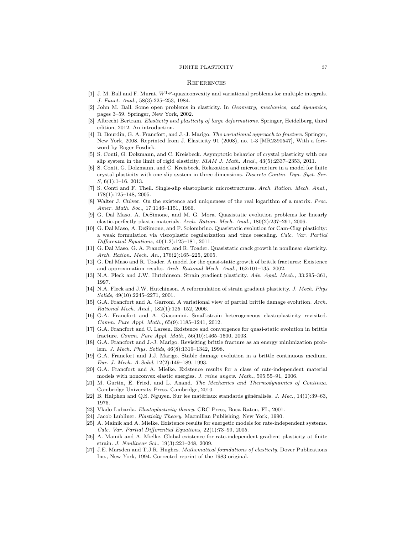#### FINITE PLASTICITY 37

#### **REFERENCES**

- [1] J. M. Ball and F. Murat.  $W^{1,p}$ -quasiconvexity and variational problems for multiple integrals. J. Funct. Anal., 58(3):225–253, 1984.
- [2] John M. Ball. Some open problems in elasticity. In Geometry, mechanics, and dynamics, pages 3–59. Springer, New York, 2002.
- Albrecht Bertram. Elasticity and plasticity of large deformations. Springer, Heidelberg, third edition, 2012. An introduction.
- [4] B. Bourdin, G. A. Francfort, and J.-J. Marigo. The variational approach to fracture. Springer, New York, 2008. Reprinted from J. Elasticity 91 (2008), no. 1-3 [MR2390547], With a foreword by Roger Fosdick.
- [5] S. Conti, G. Dolzmann, and C. Kreisbeck. Asymptotic behavior of crystal plasticity with one slip system in the limit of rigid elasticity. SIAM J. Math. Anal., 43(5):2337–2353, 2011.
- [6] S. Conti, G. Dolzmann, and C. Kreisbeck. Relaxation and microstructure in a model for finite crystal plasticity with one slip system in three dimensions. Discrete Contin. Dyn. Syst. Ser. S, 6(1):1–16, 2013.
- [7] S. Conti and F. Theil. Single-slip elastoplastic microstructures. Arch. Ration. Mech. Anal., 178(1):125–148, 2005.
- [8] Walter J. Culver. On the existence and uniqueness of the real logarithm of a matrix. Proc. Amer. Math. Soc., 17:1146–1151, 1966.
- [9] G. Dal Maso, A. DeSimone, and M. G. Mora. Quasistatic evolution problems for linearly elastic-perfectly plastic materials. Arch. Ration. Mech. Anal., 180(2):237–291, 2006.
- [10] G. Dal Maso, A. DeSimone, and F. Solombrino. Quasistatic evolution for Cam-Clay plasticity: a weak formulation via viscoplastic regularization and time rescaling. Calc. Var. Partial Differential Equations, 40(1-2):125–181, 2011.
- [11] G. Dal Maso, G. A. Francfort, and R. Toader. Quasistatic crack growth in nonlinear elasticity. Arch. Ration. Mech. An., 176(2):165–225, 2005.
- [12] G. Dal Maso and R. Toader. A model for the quasi-static growth of brittle fractures: Existence and approximation results. Arch. Rational Mech. Anal., 162:101–135, 2002.
- [13] N.A. Fleck and J.W. Hutchinson. Strain gradient plasticity. Adv. Appl. Mech., 33:295–361, 1997.
- [14] N.A. Fleck and J.W. Hutchinson. A reformulation of strain gradient plasticity. J. Mech. Phys Solids, 49(10):2245–2271, 2001.
- [15] G.A. Francfort and A. Garroni. A variational view of partial brittle damage evolution. Arch. Rational Mech. Anal., 182(1):125–152, 2006.
- [16] G.A. Francfort and A. Giacomini. Small-strain heterogeneous elastoplasticity revisited. Comm. Pure Appl. Math., 65(9):1185–1241, 2012.
- [17] G.A. Francfort and C. Larsen. Existence and convergence for quasi-static evolution in brittle fracture. Comm. Pure Appl. Math., 56(10):1465–1500, 2003.
- [18] G.A. Francfort and J.-J. Marigo. Revisiting brittle fracture as an energy minimization problem. J. Mech. Phys. Solids, 46(8):1319–1342, 1998.
- [19] G.A. Francfort and J.J. Marigo. Stable damage evolution in a brittle continuous medium. Eur. J. Mech. A-Solid, 12(2):149–189, 1993.
- [20] G.A. Francfort and A. Mielke. Existence results for a class of rate-independent material models with nonconvex elastic energies. J. reine angew. Math., 595:55–91, 2006.
- [21] M. Gurtin, E. Fried, and L. Anand. The Mechanics and Thermodynamics of Continua. Cambridge University Press, Cambridge, 2010.
- [22] B. Halphen and Q.S. Nguyen. Sur les matériaux standards généralisés. *J. Mec.*,  $14(1):39-63$ , 1975.
- [23] Vlado Lubarda. Elastoplasticity theory. CRC Press, Boca Raton, FL, 2001.
- [24] Jacob Lubliner. Plasticity Theory. Macmillan Publishing, New York, 1990.
- [25] A. Mainik and A. Mielke. Existence results for energetic models for rate-independent systems. Calc. Var. Partial Differential Equations, 22(1):73–99, 2005.
- [26] A. Mainik and A. Mielke. Global existence for rate-independent gradient plasticity at finite strain. J. Nonlinear Sci., 19(3):221–248, 2009.
- [27] J.E. Marsden and T.J.R. Hughes. Mathematical foundations of elasticity. Dover Publications Inc., New York, 1994. Corrected reprint of the 1983 original.